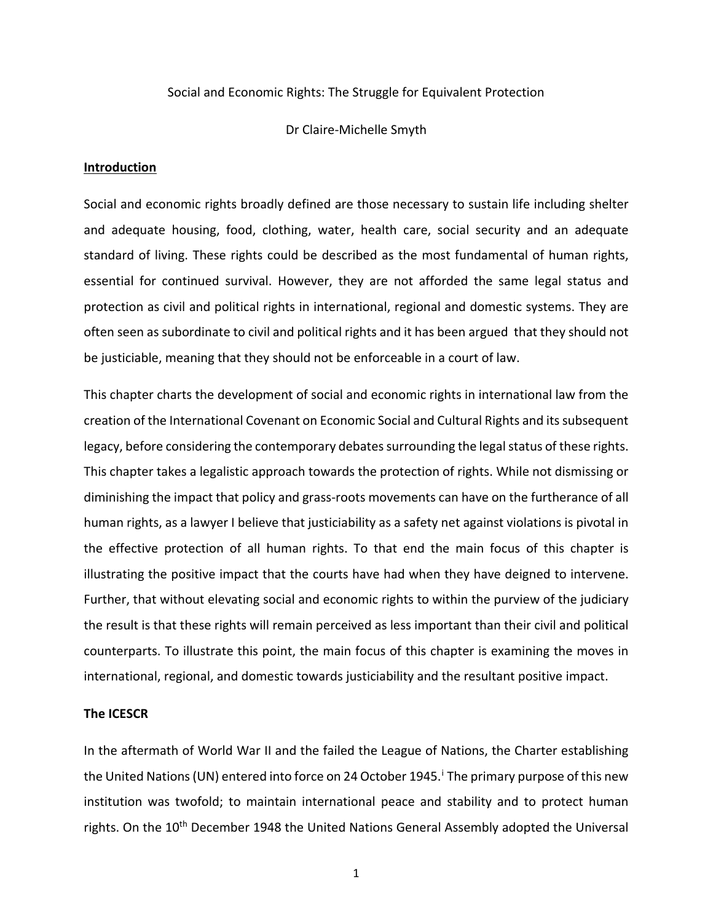#### Social and Economic Rights: The Struggle for Equivalent Protection

Dr Claire-Michelle Smyth

# **Introduction**

Social and economic rights broadly defined are those necessary to sustain life including shelter and adequate housing, food, clothing, water, health care, social security and an adequate standard of living. These rights could be described as the most fundamental of human rights, essential for continued survival. However, they are not afforded the same legal status and protection as civil and political rights in international, regional and domestic systems. They are often seen as subordinate to civil and political rights and it has been argued that they should not be justiciable, meaning that they should not be enforceable in a court of law.

This chapter charts the development of social and economic rights in international law from the creation of the International Covenant on Economic Social and Cultural Rights and itssubsequent legacy, before considering the contemporary debates surrounding the legal status of these rights. This chapter takes a legalistic approach towards the protection of rights. While not dismissing or diminishing the impact that policy and grass-roots movements can have on the furtherance of all human rights, as a lawyer I believe that justiciability as a safety net against violations is pivotal in the effective protection of all human rights. To that end the main focus of this chapter is illustrating the positive impact that the courts have had when they have deigned to intervene. Further, that without elevating social and economic rights to within the purview of the judiciary the result is that these rights will remain perceived as less important than their civil and political counterparts. To illustrate this point, the main focus of this chapter is examining the moves in international, regional, and domestic towards justiciability and the resultant positive impact.

#### **The ICESCR**

In the aftermath of World War II and the failed the League of Nations, the Charter establishing the Un[i](#page-2-0)ted Nations (UN) entered into force on 24 October 1945. The primary purpose of this new institution was twofold; to maintain international peace and stability and to protect human rights. On the 10<sup>th</sup> December 1948 the United Nations General Assembly adopted the Universal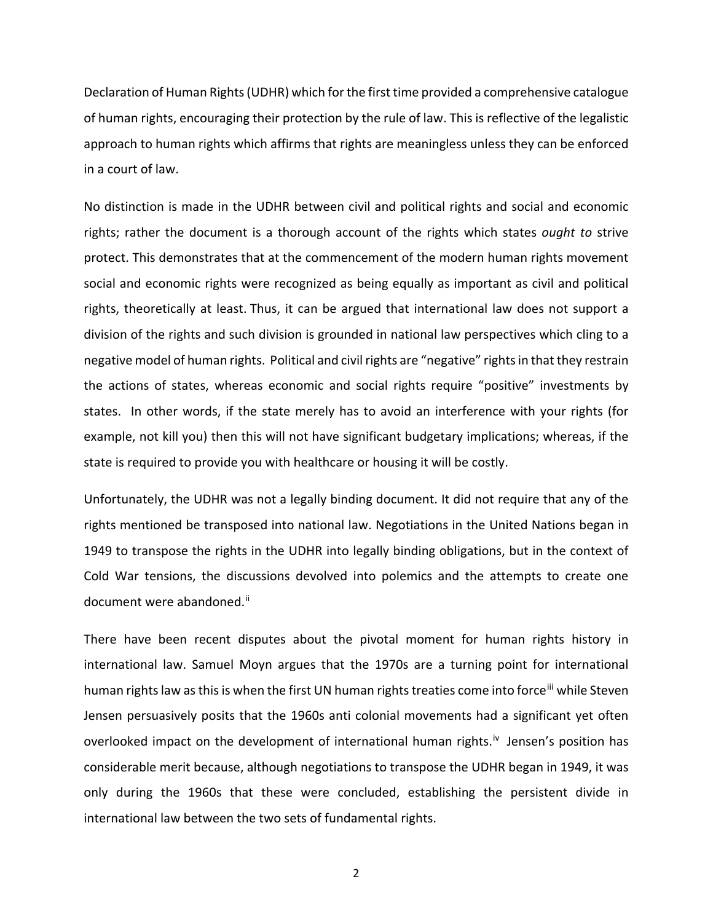Declaration of Human Rights(UDHR) which for the first time provided a comprehensive catalogue of human rights, encouraging their protection by the rule of law. This is reflective of the legalistic approach to human rights which affirms that rights are meaningless unless they can be enforced in a court of law.

No distinction is made in the UDHR between civil and political rights and social and economic rights; rather the document is a thorough account of the rights which states *ought to* strive protect. This demonstrates that at the commencement of the modern human rights movement social and economic rights were recognized as being equally as important as civil and political rights, theoretically at least. Thus, it can be argued that international law does not support a division of the rights and such division is grounded in national law perspectives which cling to a negative model of human rights. Political and civil rights are "negative" rights in that they restrain the actions of states, whereas economic and social rights require "positive" investments by states. In other words, if the state merely has to avoid an interference with your rights (for example, not kill you) then this will not have significant budgetary implications; whereas, if the state is required to provide you with healthcare or housing it will be costly.

Unfortunately, the UDHR was not a legally binding document. It did not require that any of the rights mentioned be transposed into national law. Negotiations in the United Nations began in 1949 to transpose the rights in the UDHR into legally binding obligations, but in the context of Cold War tensions, the discussions devolved into polemics and the attempts to create one document were abandoned.<sup>[ii](#page-2-1)</sup>

There have been recent disputes about the pivotal moment for human rights history in international law. Samuel Moyn argues that the 1970s are a turning point for international human rights law as this is when the first UN human rights treaties come into force<sup>[iii](#page-2-2)</sup> while Steven Jensen persuasively posits that the 1960s anti colonial movements had a significant yet often overlooked impact on the development of international human rights.<sup>iv</sup> Jensen's position has considerable merit because, although negotiations to transpose the UDHR began in 1949, it was only during the 1960s that these were concluded, establishing the persistent divide in international law between the two sets of fundamental rights.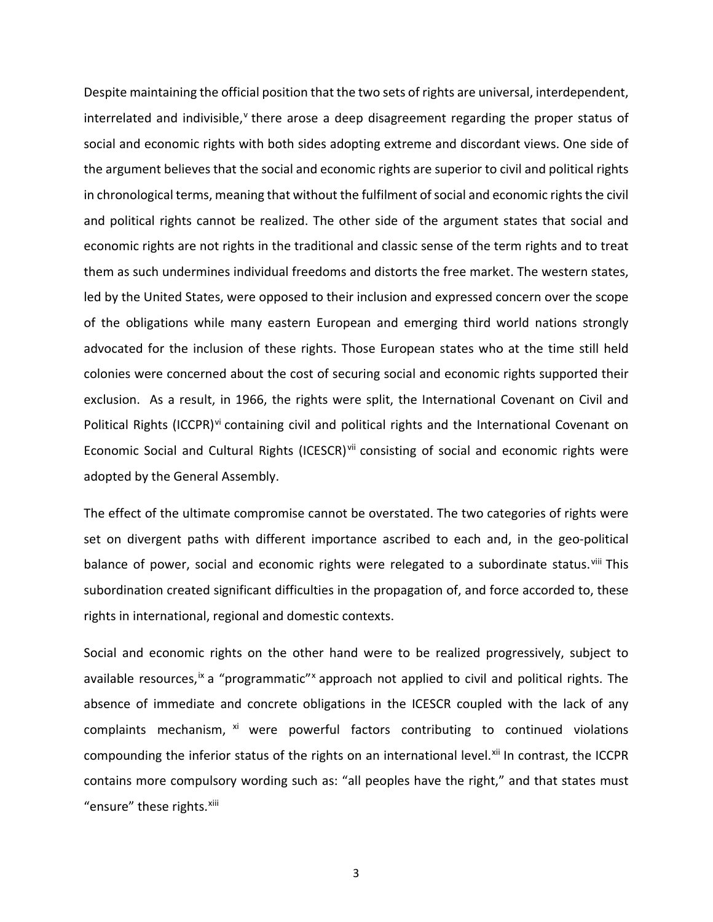<span id="page-2-8"></span><span id="page-2-7"></span><span id="page-2-6"></span><span id="page-2-5"></span><span id="page-2-4"></span><span id="page-2-3"></span><span id="page-2-2"></span><span id="page-2-1"></span><span id="page-2-0"></span>Despite maintaining the official position that the two sets of rights are universal, interdependent, interrelated and indi[v](#page-2-4)isible, $v$  there arose a deep disagreement regarding the proper status of social and economic rights with both sides adopting extreme and discordant views. One side of the argument believes that the social and economic rights are superior to civil and political rights in chronological terms, meaning that without the fulfilment of social and economic rights the civil and political rights cannot be realized. The other side of the argument states that social and economic rights are not rights in the traditional and classic sense of the term rights and to treat them as such undermines individual freedoms and distorts the free market. The western states, led by the United States, were opposed to their inclusion and expressed concern over the scope of the obligations while many eastern European and emerging third world nations strongly advocated for the inclusion of these rights. Those European states who at the time still held colonies were concerned about the cost of securing social and economic rights supported their exclusion. As a result, in 1966, the rights were split, the International Covenant on Civil and Political Rights (ICCPR)<sup>[vi](#page-2-5)</sup> containing civil and political rights and the International Covenant on Economic Social and Cultural Rights (ICESCR)<sup>[vii](#page-2-6)</sup> consisting of social and economic rights were adopted by the General Assembly.

<span id="page-2-18"></span><span id="page-2-17"></span><span id="page-2-16"></span><span id="page-2-15"></span><span id="page-2-14"></span><span id="page-2-13"></span><span id="page-2-12"></span><span id="page-2-11"></span><span id="page-2-10"></span><span id="page-2-9"></span>The effect of the ultimate compromise cannot be overstated. The two categories of rights were set on divergent paths with different importance ascribed to each and, in the geo-political balance of power, social and economic rights were relegated to a subordinate status.<sup>[viii](#page-2-7)</sup> This subordination created significant difficulties in the propagation of, and force accorded to, these rights in international, regional and domestic contexts.

<span id="page-2-25"></span><span id="page-2-24"></span><span id="page-2-23"></span><span id="page-2-22"></span><span id="page-2-21"></span><span id="page-2-20"></span><span id="page-2-19"></span>Social and economic rights on the other hand were to be realized progressively, subject to available resources,<sup>[ix](#page-2-8)</sup> a "programmatic"<sup>[x](#page-2-9)</sup> approach not applied to civil and political rights. The absence of immediate and concrete obligations in the ICESCR coupled with the lack of any complaints mechanism, [xi](#page-2-10) were powerful factors contributing to continued violations compounding the inferior status of the rights on an international level.<sup>[xii](#page-2-11)</sup> In contrast, the ICCPR contains more compulsory wording such as: "all peoples have the right," and that states must "ensure" these rights. [xiii](#page-2-12)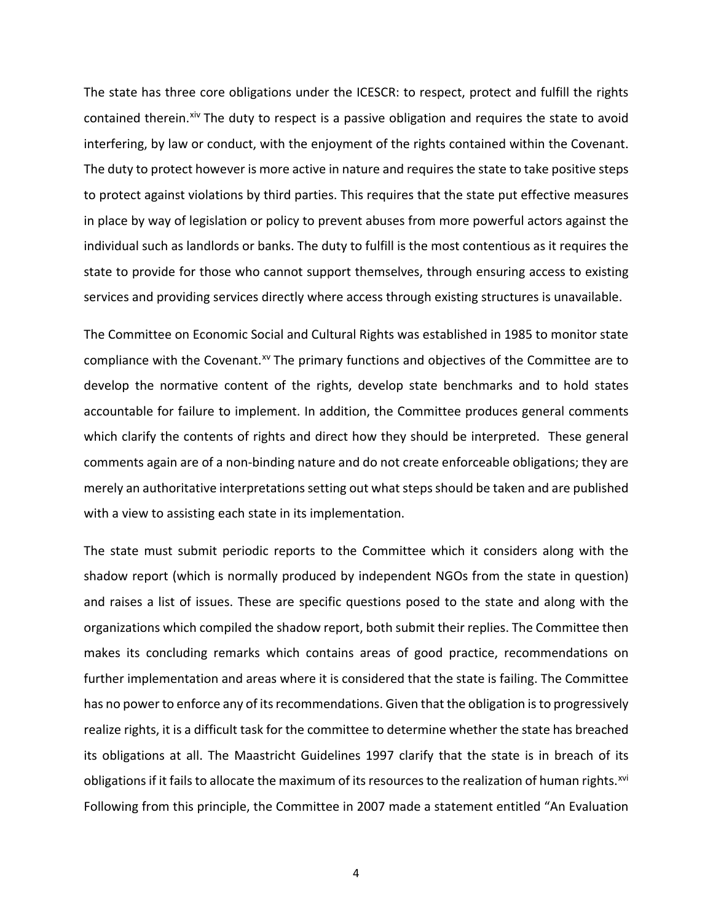<span id="page-3-1"></span><span id="page-3-0"></span>The state has three core obligations under the ICESCR: to respect, protect and fulfill the rights contained therein.<sup>[xiv](#page-2-13)</sup> The duty to respect is a passive obligation and requires the state to avoid interfering, by law or conduct, with the enjoyment of the rights contained within the Covenant. The duty to protect however is more active in nature and requiresthe state to take positive steps to protect against violations by third parties. This requires that the state put effective measures in place by way of legislation or policy to prevent abuses from more powerful actors against the individual such as landlords or banks. The duty to fulfill is the most contentious as it requires the state to provide for those who cannot support themselves, through ensuring access to existing services and providing services directly where access through existing structures is unavailable.

<span id="page-3-7"></span><span id="page-3-6"></span><span id="page-3-5"></span><span id="page-3-4"></span><span id="page-3-3"></span><span id="page-3-2"></span>The Committee on Economic Social and Cultural Rights was established in 1985 to monitor state compliance with the Covenant.<sup>[xv](#page-2-14)</sup> The primary functions and objectives of the Committee are to develop the normative content of the rights, develop state benchmarks and to hold states accountable for failure to implement. In addition, the Committee produces general comments which clarify the contents of rights and direct how they should be interpreted. These general comments again are of a non-binding nature and do not create enforceable obligations; they are merely an authoritative interpretations setting out what steps should be taken and are published with a view to assisting each state in its implementation.

<span id="page-3-22"></span><span id="page-3-21"></span><span id="page-3-20"></span><span id="page-3-19"></span><span id="page-3-18"></span><span id="page-3-17"></span><span id="page-3-16"></span><span id="page-3-15"></span><span id="page-3-14"></span><span id="page-3-13"></span><span id="page-3-12"></span><span id="page-3-11"></span><span id="page-3-10"></span><span id="page-3-9"></span><span id="page-3-8"></span>The state must submit periodic reports to the Committee which it considers along with the shadow report (which is normally produced by independent NGOs from the state in question) and raises a list of issues. These are specific questions posed to the state and along with the organizations which compiled the shadow report, both submit their replies. The Committee then makes its concluding remarks which contains areas of good practice, recommendations on further implementation and areas where it is considered that the state is failing. The Committee has no power to enforce any of its recommendations. Given that the obligation is to progressively realize rights, it is a difficult task for the committee to determine whether the state has breached its obligations at all. The Maastricht Guidelines 1997 clarify that the state is in breach of its obligations if it fails to allocate the maximum of its resources to the realization of human rights.<sup>[xvi](#page-2-15)</sup> Following from this principle, the Committee in 2007 made a statement entitled "An Evaluation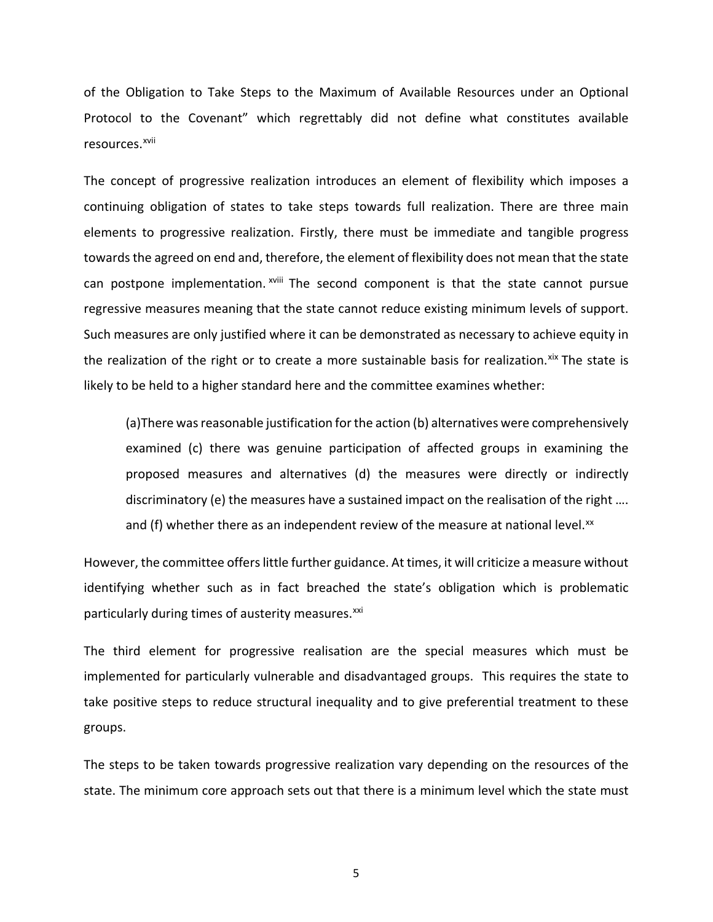<span id="page-4-0"></span>of the Obligation to Take Steps to the Maximum of Available Resources under an Optional Protocol to the Covenant" which regrettably did not define what constitutes available resources.[xvii](#page-2-16)

<span id="page-4-5"></span><span id="page-4-4"></span><span id="page-4-3"></span><span id="page-4-2"></span><span id="page-4-1"></span>The concept of progressive realization introduces an element of flexibility which imposes a continuing obligation of states to take steps towards full realization. There are three main elements to progressive realization. Firstly, there must be immediate and tangible progress towards the agreed on end and, therefore, the element of flexibility does not mean that the state can postpone implementation. <sup>xviii</sup> The second component is that the state cannot pursue regressive measures meaning that the state cannot reduce existing minimum levels of support. Such measures are only justified where it can be demonstrated as necessary to achieve equity in the realization of the right or to create a more sustainable basis for realization. Xix The state is likely to be held to a higher standard here and the committee examines whether:

<span id="page-4-8"></span><span id="page-4-7"></span><span id="page-4-6"></span>(a)There was reasonable justification for the action (b) alternatives were comprehensively examined (c) there was genuine participation of affected groups in examining the proposed measures and alternatives (d) the measures were directly or indirectly discriminatory (e) the measures have a sustained impact on the realisation of the right .... and (f) whether there as an independent review of the measure at national level. $^{xx}$  $^{xx}$  $^{xx}$ 

<span id="page-4-12"></span><span id="page-4-11"></span><span id="page-4-10"></span><span id="page-4-9"></span>However, the committee offers little further guidance. At times, it will criticize a measure without identifying whether such as in fact breached the state's obligation which is problematic particularly during times of austerity measures.<sup>[xxi](#page-2-19)</sup>

<span id="page-4-15"></span><span id="page-4-14"></span><span id="page-4-13"></span>The third element for progressive realisation are the special measures which must be implemented for particularly vulnerable and disadvantaged groups. This requires the state to take positive steps to reduce structural inequality and to give preferential treatment to these groups.

<span id="page-4-19"></span><span id="page-4-18"></span><span id="page-4-17"></span><span id="page-4-16"></span>The steps to be taken towards progressive realization vary depending on the resources of the state. The minimum core approach sets out that there is a minimum level which the state must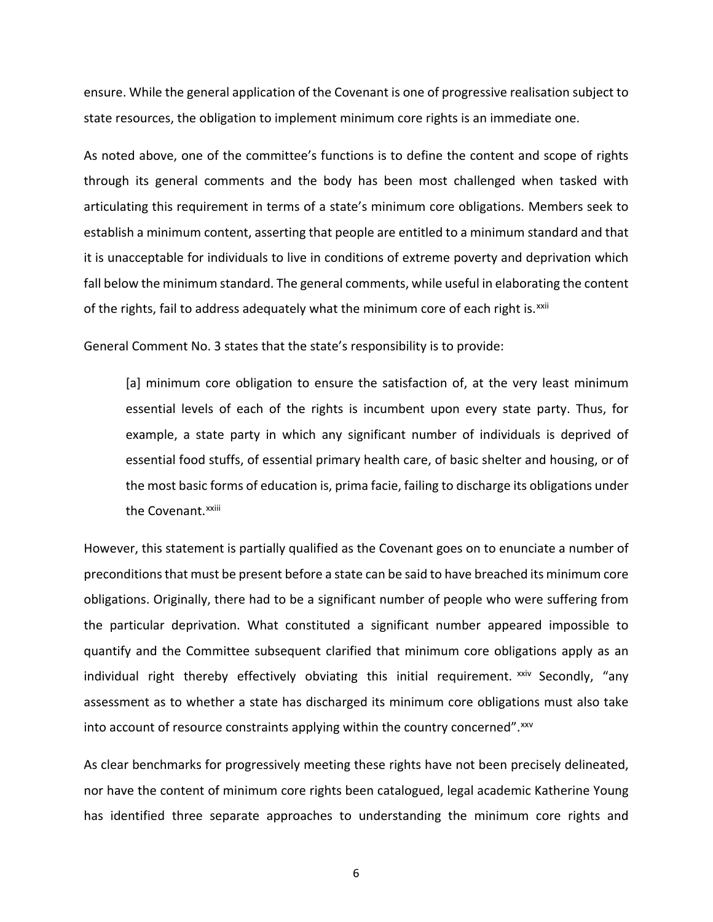ensure. While the general application of the Covenant is one of progressive realisation subject to state resources, the obligation to implement minimum core rights is an immediate one.

<span id="page-5-3"></span><span id="page-5-2"></span><span id="page-5-1"></span><span id="page-5-0"></span>As noted above, one of the committee's functions is to define the content and scope of rights through its general comments and the body has been most challenged when tasked with articulating this requirement in terms of a state's minimum core obligations. Members seek to establish a minimum content, asserting that people are entitled to a minimum standard and that it is unacceptable for individuals to live in conditions of extreme poverty and deprivation which fall below the minimum standard. The general comments, while useful in elaborating the content of the rights, fail to address adequately what the minimum core of each right is. $^{xxii}$  $^{xxii}$  $^{xxii}$ 

<span id="page-5-8"></span><span id="page-5-7"></span><span id="page-5-6"></span><span id="page-5-5"></span><span id="page-5-4"></span>General Comment No. 3 states that the state's responsibility is to provide:

[a] minimum core obligation to ensure the satisfaction of, at the very least minimum essential levels of each of the rights is incumbent upon every state party. Thus, for example, a state party in which any significant number of individuals is deprived of essential food stuffs, of essential primary health care, of basic shelter and housing, or of the most basic forms of education is, prima facie, failing to discharge its obligations under the Covenant.<sup>xxiii</sup>

<span id="page-5-17"></span><span id="page-5-16"></span><span id="page-5-15"></span><span id="page-5-14"></span><span id="page-5-13"></span><span id="page-5-12"></span><span id="page-5-11"></span><span id="page-5-10"></span><span id="page-5-9"></span>However, this statement is partially qualified as the Covenant goes on to enunciate a number of preconditionsthat must be present before a state can be said to have breached its minimum core obligations. Originally, there had to be a significant number of people who were suffering from the particular deprivation. What constituted a significant number appeared impossible to quantify and the Committee subsequent clarified that minimum core obligations apply as an individual right thereby effectively obviating this initial requirement.  $x_{x}$  Secondly, "any assessment as to whether a state has discharged its minimum core obligations must also take into account of resource constraints applying within the country concerned".[xxv](#page-2-22)

<span id="page-5-26"></span><span id="page-5-25"></span><span id="page-5-24"></span><span id="page-5-23"></span><span id="page-5-22"></span><span id="page-5-21"></span><span id="page-5-20"></span><span id="page-5-19"></span><span id="page-5-18"></span>As clear benchmarks for progressively meeting these rights have not been precisely delineated, nor have the content of minimum core rights been catalogued, legal academic Katherine Young has identified three separate approaches to understanding the minimum core rights and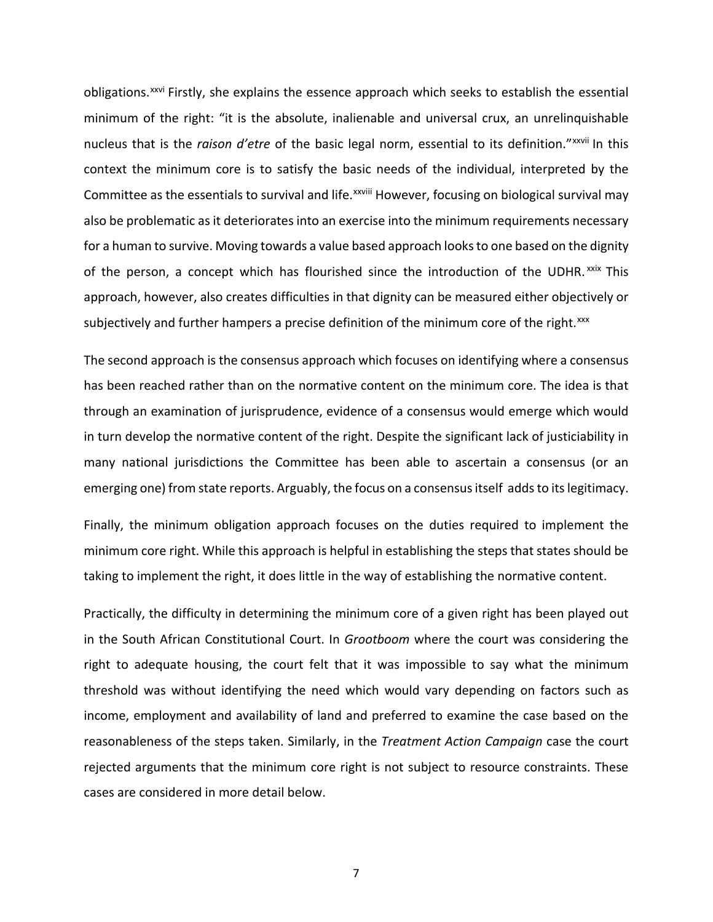<span id="page-6-4"></span><span id="page-6-3"></span><span id="page-6-2"></span><span id="page-6-1"></span><span id="page-6-0"></span>obligations.<sup>[xxvi](#page-2-23)</sup> Firstly, she explains the essence approach which seeks to establish the essential minimum of the right: "it is the absolute, inalienable and universal crux, an unrelinquishable nucleus that is the *raison d'etre* of the basic legal norm, essential to its definition."xxvii [I](#page-2-24)n this Committee as the essentials to survival and life.<sup>xxviii</sup> However, focusing on biological survival may context the minimum core is to satisfy the basic needs of the individual, interpreted by the also be problematic as it deteriorates into an exercise into the minimum requirements necessary for a human to survive. Moving towards a value based approach looksto one based on the dignity of the person, a concept which has flourished since the introduction of the UDHR. [xxix](#page-2-25) This approach, however, also creates difficulties in that dignity can be measured either objectively or subjectively and further hampers a precise definition of the minimum core of the right.<sup>[xxx](#page-3-0)</sup>

<span id="page-6-12"></span><span id="page-6-11"></span><span id="page-6-10"></span><span id="page-6-9"></span><span id="page-6-8"></span><span id="page-6-7"></span><span id="page-6-6"></span><span id="page-6-5"></span>The second approach is the consensus approach which focuses on identifying where a consensus has been reached rather than on the normative content on the minimum core. The idea is that through an examination of jurisprudence, evidence of a consensus would emerge which would in turn develop the normative content of the right. Despite the significant lack of justiciability in many national jurisdictions the Committee has been able to ascertain a consensus (or an emerging one) from state reports. Arguably, the focus on a consensus itself adds to its legitimacy.

Finally, the minimum obligation approach focuses on the duties required to implement the minimum core right. While this approach is helpful in establishing the steps that states should be taking to implement the right, it does little in the way of establishing the normative content.

<span id="page-6-15"></span><span id="page-6-14"></span><span id="page-6-13"></span>Practically, the difficulty in determining the minimum core of a given right has been played out in the South African Constitutional Court. In *Grootboom* where the court was considering the right to adequate housing, the court felt that it was impossible to say what the minimum threshold was without identifying the need which would vary depending on factors such as income, employment and availability of land and preferred to examine the case based on the reasonableness of the steps taken. Similarly, in the *Treatment Action Campaign* case the court rejected arguments that the minimum core right is not subject to resource constraints. These cases are considered in more detail below.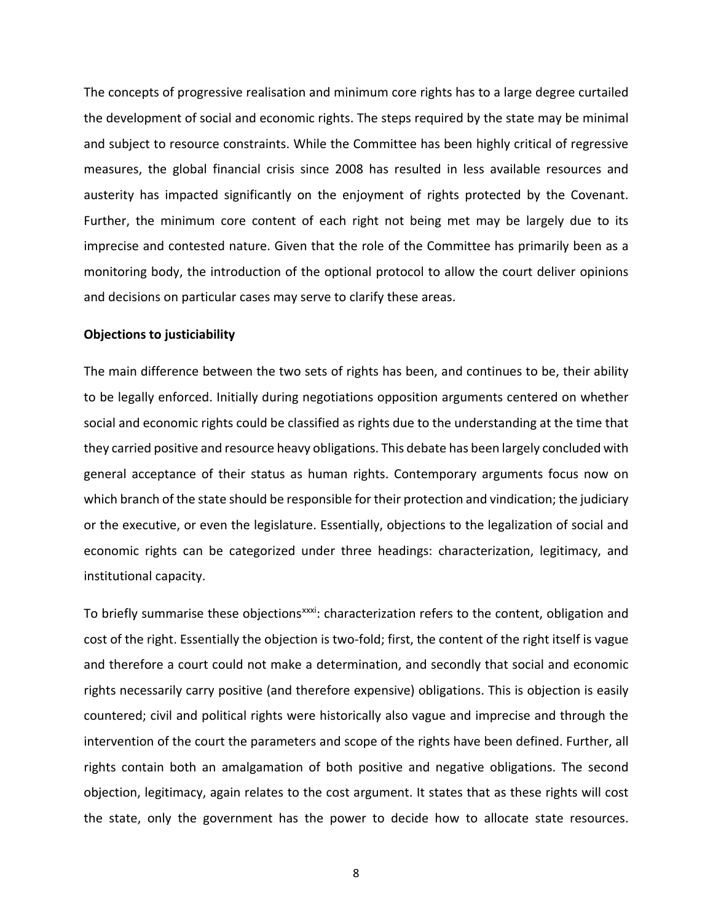<span id="page-7-1"></span><span id="page-7-0"></span>The concepts of progressive realisation and minimum core rights has to a large degree curtailed the development of social and economic rights. The steps required by the state may be minimal and subject to resource constraints. While the Committee has been highly critical of regressive measures, the global financial crisis since 2008 has resulted in less available resources and austerity has impacted significantly on the enjoyment of rights protected by the Covenant. Further, the minimum core content of each right not being met may be largely due to its imprecise and contested nature. Given that the role of the Committee has primarily been as a monitoring body, the introduction of the optional protocol to allow the court deliver opinions and decisions on particular cases may serve to clarify these areas.

# <span id="page-7-6"></span><span id="page-7-5"></span><span id="page-7-4"></span><span id="page-7-3"></span><span id="page-7-2"></span>**Objections to justiciability**

<span id="page-7-8"></span><span id="page-7-7"></span>The main difference between the two sets of rights has been, and continues to be, their ability to be legally enforced. Initially during negotiations opposition arguments centered on whether social and economic rights could be classified as rights due to the understanding at the time that they carried positive and resource heavy obligations. This debate has been largely concluded with general acceptance of their status as human rights. Contemporary arguments focus now on which branch of the state should be responsible for their protection and vindication; the judiciary or the executive, or even the legislature. Essentially, objections to the legalization of social and economic rights can be categorized under three headings: characterization, legitimacy, and institutional capacity.

To briefly summarise these objections<sup>xxxi</sup>: characterization refers to the content, obligation and cost of the right. Essentially the objection is two-fold; first, the content of the right itself is vague and therefore a court could not make a determination, and secondly that social and economic rights necessarily carry positive (and therefore expensive) obligations. This is objection is easily countered; civil and political rights were historically also vague and imprecise and through the intervention of the court the parameters and scope of the rights have been defined. Further, all rights contain both an amalgamation of both positive and negative obligations. The second objection, legitimacy, again relates to the cost argument. It states that as these rights will cost the state, only the government has the power to decide how to allocate state resources.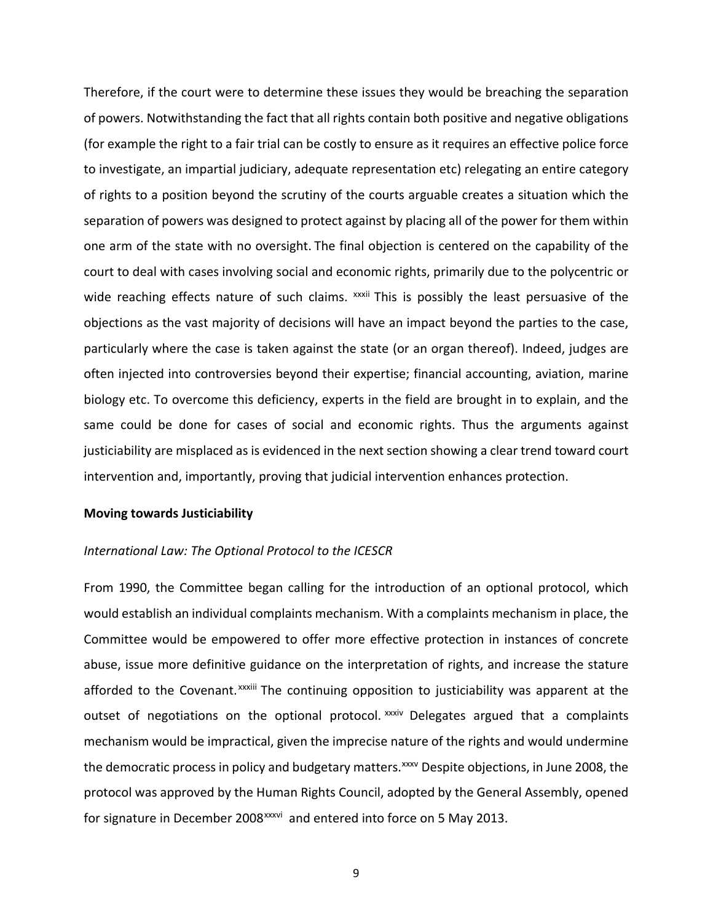Therefore, if the court were to determine these issues they would be breaching the separation of powers. Notwithstanding the fact that all rights contain both positive and negative obligations (for example the right to a fair trial can be costly to ensure as it requires an effective police force to investigate, an impartial judiciary, adequate representation etc) relegating an entire category of rights to a position beyond the scrutiny of the courts arguable creates a situation which the separation of powers was designed to protect against by placing all of the power for them within one arm of the state with no oversight. The final objection is centered on the capability of the court to deal with cases involving social and economic rights, primarily due to the polycentric or wide reaching effects nature of such claims. <sup>xxxii</sup> This is possibly the least persuasive of the objections as the vast majority of decisions will have an impact beyond the parties to the case, particularly where the case is taken against the state (or an organ thereof). Indeed, judges are often injected into controversies beyond their expertise; financial accounting, aviation, marine biology etc. To overcome this deficiency, experts in the field are brought in to explain, and the same could be done for cases of social and economic rights. Thus the arguments against justiciability are misplaced as is evidenced in the next section showing a clear trend toward court intervention and, importantly, proving that judicial intervention enhances protection.

# **Moving towards Justiciability**

# *International Law: The Optional Protocol to the ICESCR*

From 1990, the Committee began calling for the introduction of an optional protocol, which would establish an individual complaints mechanism. With a complaints mechanism in place, the Committee would be empowered to offer more effective protection in instances of concrete abuse, issue more definitive guidance on the interpretation of rights, and increase the stature afforded to the Covenant.<sup>xxxiii</sup> The continuing opposition to justiciability was apparent at the outset of negotiations on the optional protocol. XXXIV [D](#page-3-2)elegates argued that a complaints forsignature in December 2008<sup>xxxvi</sup> and entered into force on 5 May 2013. mechanism would be impractical, given the imprecise nature of the rights and would undermine the democratic process in policy and budgetary matters. XXXV Despite objections, in June 2008, the protocol was approved by the Human Rights Council, adopted by the General Assembly, opened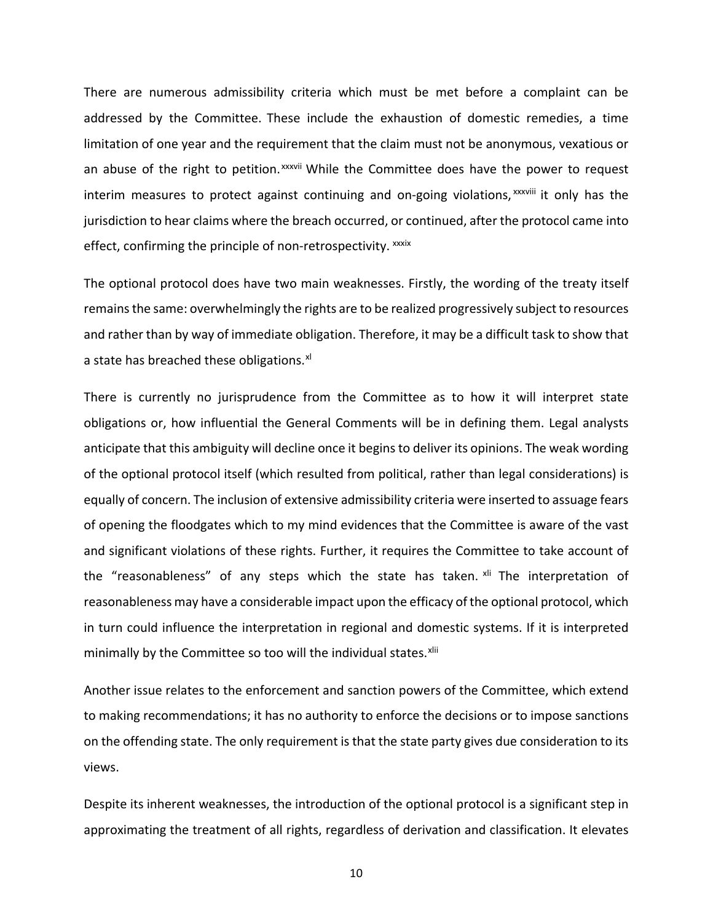There are numerous admissibility criteria which must be met before a complaint can be addressed by the Committee. These include the exhaustion of domestic remedies, a time limitation of one year and the requirement that the claim must not be anonymous, vexatious or an abuse of the right to petition. xxxvii [W](#page-3-5)hile the Committee does have the power to request interim measures to protect against continuing and on-going violations,<sup>xxxviii</sup> it only has the effect, confirming the principle of non-retrospectivity. XXXIX jurisdiction to hear claims where the breach occurred, or continued, after the protocol came into

The optional protocol does have two main weaknesses. Firstly, the wording of the treaty itself remainsthe same: overwhelmingly the rights are to be realized progressively subject to resources and rather than by way of immediate obligation. Therefore, it may be a difficult task to show that a state has breached these obligations.<sup>[xl](#page-3-7)</sup>

There is currently no jurisprudence from the Committee as to how it will interpret state obligations or, how influential the General Comments will be in defining them. Legal analysts anticipate that this ambiguity will decline once it beginsto deliver its opinions. The weak wording of the optional protocol itself (which resulted from political, rather than legal considerations) is equally of concern. The inclusion of extensive admissibility criteria were inserted to assuage fears of opening the floodgates which to my mind evidences that the Committee is aware of the vast and significant violations of these rights. Further, it requires the Committee to take account of the "reasonableness" of any steps which the state has taken. [xli](#page-3-8) The interpretation of reasonableness may have a considerable impact upon the efficacy of the optional protocol, which in turn could influence the interpretation in regional and domestic systems. If it is interpreted minimally by the Committee so too will the individual states. Xlii

Another issue relates to the enforcement and sanction powers of the Committee, which extend to making recommendations; it has no authority to enforce the decisions or to impose sanctions on the offending state. The only requirement is that the state party gives due consideration to its views.

Despite its inherent weaknesses, the introduction of the optional protocol is a significant step in approximating the treatment of all rights, regardless of derivation and classification. It elevates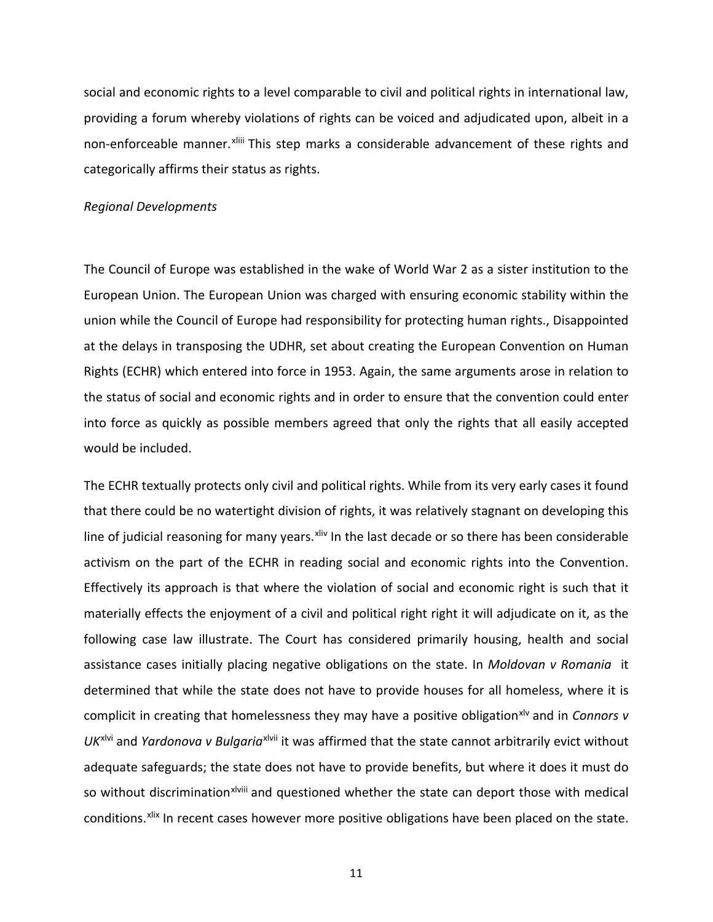social and economic rights to a level comparable to civil and political rights in international law, providing a forum whereby violations of rights can be voiced and adjudicated upon, albeit in a non-enforceable manner. Xliii This step marks a considerable advancement of these rights and categorically affirms their status as rights.

#### *Regional Developments*

The Council of Europe was established in the wake of World War 2 as a sister institution to the European Union. The European Union was charged with ensuring economic stability within the union while the Council of Europe had responsibility for protecting human rights., Disappointed at the delays in transposing the UDHR, set about creating the European Convention on Human Rights (ECHR) which entered into force in 1953. Again, the same arguments arose in relation to the status of social and economic rights and in order to ensure that the convention could enter into force as quickly as possible members agreed that only the rights that all easily accepted would be included.

The ECHR textually protects only civil and political rights. While from its very early cases it found that there could be no watertight division of rights, it was relatively stagnant on developing this line of judicial reasoning for many years. Xiiv In the last decade or so there has been considerable activism on the part of the ECHR in reading social and economic rights into the Convention. Effectively its approach is that where the violation of social and economic right is such that it materially effects the enjoyment of a civil and political right right it will adjudicate on it, as the following case law illustrate. The Court has considered primarily housing, health and social assistance cases initially placing negative obligations on the state. In *Moldovan v Romania* it determined that while the state does not have to provide houses for all homeless, where it is complicit in creating that homelessness they may have a positive obligation<sup>xly</sup> and in *Connors v* UK<sup>[xlvi](#page-3-12)</sup> and *Yardonova v Bulgar[i](#page-3-13)a<sup>xlvii</sup> it was affirmed that the state cannot arbitrarily evict without* so without discrimin[a](#page-3-14)tion<sup>xlviii</sup> and questioned whether the state can deport those with medical adequate safeguards; the state does not have to provide benefits, but where it does it must do conditions. [xlix](#page-3-15) In recent cases however more positive obligations have been placed on the state.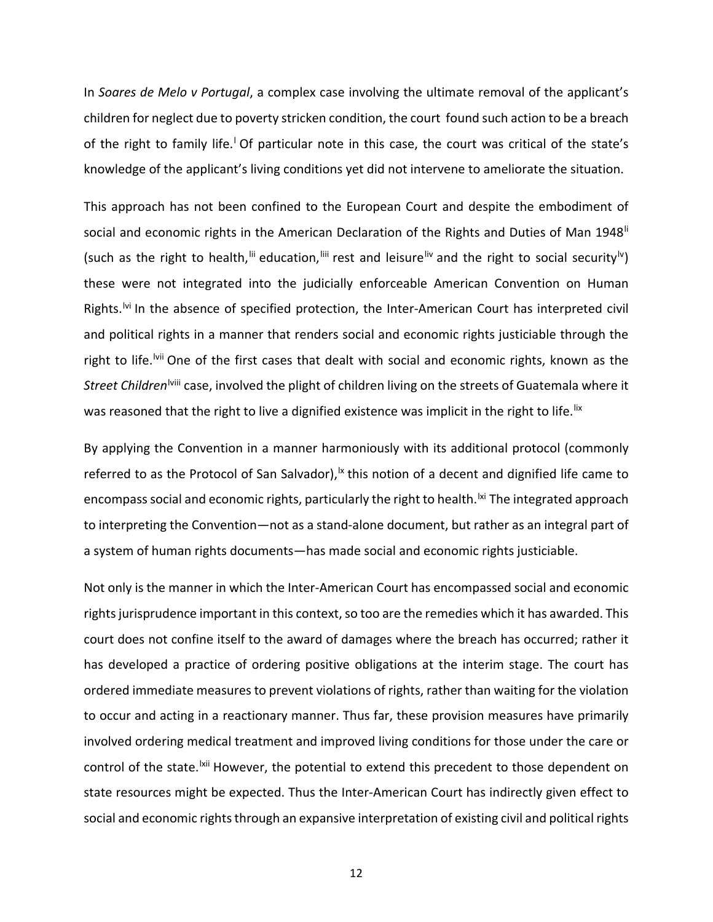In *Soares de Melo v Portugal*, a complex case involving the ultimate removal of the applicant's children for neglect due to poverty stricken condition, the court found such action to be a breach of the right to fami[l](#page-3-16)y life.<sup>1</sup> Of particular note in this case, the court was critical of the state's knowledge of the applicant's living conditions yet did not intervene to ameliorate the situation.

This approach has not been confined to the European Court and despite the embodiment of social and economic rights in the American Declaration of the Rights and Duties of Man 1948<sup>ii</sup> *Street Ch[i](#page-4-1)ldren<sup>Iviii</sup> case,* involved the plight of children living on the streets of Guatemala where it (such as the right to health,  $\lim_{n \to \infty}$  rest and leisure  $\lim_{n \to \infty}$  and the right to social security  $\lim_{n \to \infty}$ these were not integrated into the judicially enforceable American Convention on Human Rights.<sup>Ivi</sup> In the absence of specified protection, the Inter-American Court has interpreted civil and political rights in a manner that renders social and economic rights justiciable through the right to life.<sup>Ivii</sup> One of the first cases that dealt with social and economic rights, known as the was reasoned that the right to live a dignified existence was implicit in the right to life.<sup>[lix](#page-4-2)</sup>

By applying the Convention in a manner harmoniously with its additional protocol (commonly referred to as the Protocol of San Salvador),  $k$  this notion of a decent and dignified life came to encompass social and economic rights, particularly the right to health.<sup>|xi</sup> The integrated approach to interpreting the Convention—not as a stand-alone document, but rather as an integral part of a system of human rights documents—has made social and economic rights justiciable.

Not only is the manner in which the Inter-American Court has encompassed social and economic rights jurisprudence important in this context, so too are the remedies which it has awarded. This court does not confine itself to the award of damages where the breach has occurred; rather it has developed a practice of ordering positive obligations at the interim stage. The court has ordered immediate measures to prevent violations of rights, rather than waiting for the violation to occur and acting in a reactionary manner. Thus far, these provision measures have primarily involved ordering medical treatment and improved living conditions for those under the care or control of the state.<sup>Ixii</sup> However, the potential to extend this precedent to those dependent on state resources might be expected. Thus the Inter-American Court has indirectly given effect to social and economic rights through an expansive interpretation of existing civil and political rights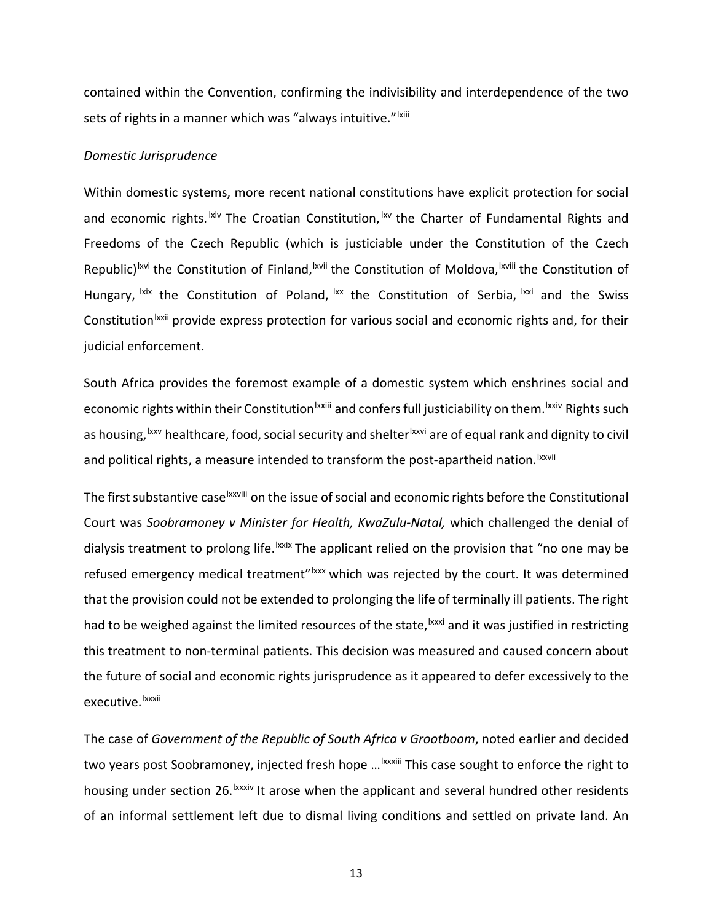contained within the Convention, confirming the indivisibility and interdependence of the two sets of rights in a manner which was "always intuitive." Ixiii

# *Domestic Jurisprudence*

Within domestic systems, more recent national constitutions have explicit protection for social and economic rights.<sup>Ixiv</sup> The Croatian Constitution, <sup>Ixv</sup> the Charter of Fundamental Rights and Republ[i](#page-4-10)c)<sup>Ixvi</sup> the Constitution of Finland, <sup>Ixvii</sup> the Constitution of Moldova, <sup>Ixviii</sup> the Constitution of Const[i](#page-4-14)tution<sup>Ixxii</sup> provide express protection for various social and economic rights and, for their Freedoms of the Czech Republic (which is justiciable under the Constitution of the Czech Hungary,  $\frac{ixx}{x}$  the Constitution of Poland,  $\frac{ixx}{x}$  the Constitution of Serbia,  $\frac{ixx}{x}$  and the Swiss judicial enforcement.

South Africa provides the foremost example of a domestic system which enshrines social and economic rights within their Constitution<sup>Ixxiii</sup> [a](#page-4-15)nd confers full justiciability on them. <sup>Ixxiv</sup> [R](#page-4-16)ights such as hous[i](#page-4-18)ng, <sup>Ixxv</sup> healthcare, food, social security and shelter<sup>Ixxvi</sup> are of equal rank and dignity to civil andpolitical rights, a measure intended to transform the post-apartheid nation. <sup>Ixxvii</sup>

The first substantive case<sup>lxxviii</sup> on the issue of social and economic rights before the Constitutional dialysis treatment to prolong life. Ixxix [T](#page-5-0)he applicant relied on the provision that "no one may be h[a](#page-5-2)d to be weighed against the limited resources of the state,  $\frac{|\mathbf{x} \mathbf{x}|}{|\mathbf{x}|}$  and it was justified in restricting execut[i](#page-5-3)ve. <sup>Ixxxii</sup> Court was *Soobramoney v Minister for Health, KwaZulu-Natal,* which challenged the denial of refused emergency medical treatment"<sup>Ixxx</sup> which was rejected by the court. It was determined that the provision could not be extended to prolonging the life of terminally ill patients. The right this treatment to non-terminal patients. This decision was measured and caused concern about the future of social and economic rights jurisprudence as it appeared to defer excessively to the

The case of *Government of the Republic of South Africa v Grootboom*, noted earlier and decided two years post Soobramoney, [i](#page-5-4)njected fresh hope ...<sup>Ixxxiii</sup> This case sought to enforce the right to housing under section 26. [I](#page-5-5)xxxiv It arose when the applicant and several hundred other residents of an informal settlement left due to dismal living conditions and settled on private land. An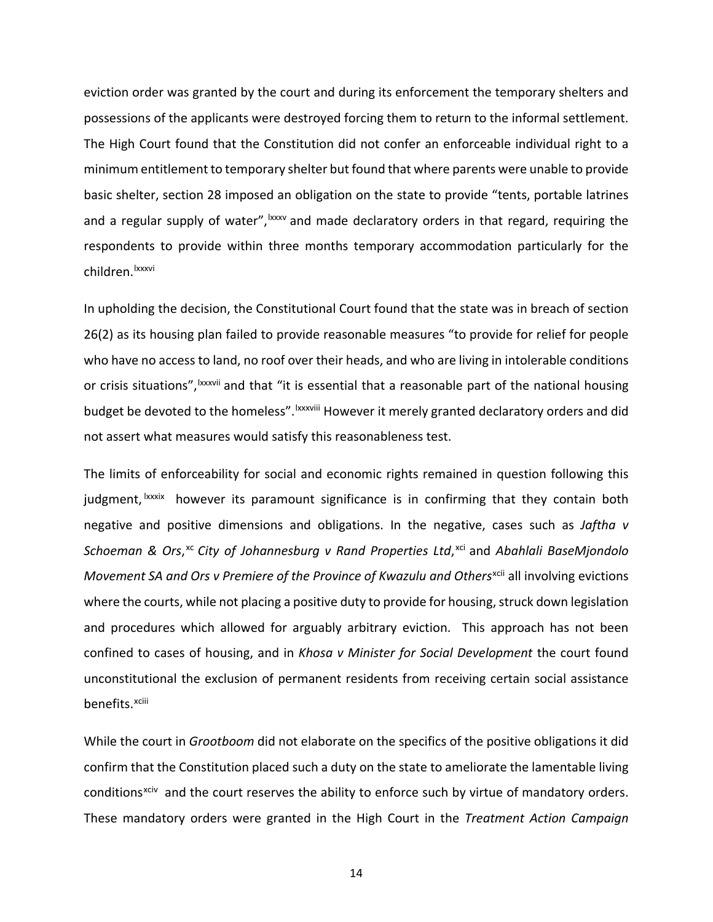eviction order was granted by the court and during its enforcement the temporary shelters and possessions of the applicants were destroyed forcing them to return to the informal settlement. The High Court found that the Constitution did not confer an enforceable individual right to a minimum entitlement to temporary shelter but found that where parents were unable to provide basic shelter, section 28 imposed an obligation on the state to provide "tents, portable latrines and a regular supply of water", Ixxx[v](#page-5-6) and made declaratory orders in that regard, requiring the children.<sup>Ixxxvi</sup> respondents to provide within three months temporary accommodation particularly for the

In upholding the decision, the Constitutional Court found that the state was in breach of section 26(2) as its housing plan failed to provide reasonable measures "to provide for relief for people who have no access to land, no roof over their heads, and who are living in intolerable conditions or crisis situations", xxxvii and that "it is essential that a reasonable part of the national housing budget be devoted to the homeless". <sup>Ixxxv[i](#page-5-7)ii</sup> However it merely granted declaratory orders and did not assert what measures would satisfy this reasonableness test.

The limits of enforceability for social and economic rights remained in question following this judgment,<sup>Ixxxix</sup> however its paramount significance is in confirming that they contain both benefits.<sup>xciii</sup> negative and positive dimensions and obligations. In the negative, cases such as *Jaftha v Schoeman & Ors*, [xc](#page-5-9) *City of Johannesburg v Rand Properties Ltd*, [xci](#page-5-10) and *Abahlali BaseMjondolo Movement SA and Ors v Premiere of the Province of Kwazulu and Others*[xcii](#page-5-11) all involving evictions where the courts, while not placing a positive duty to provide for housing, struck down legislation and procedures which allowed for arguably arbitrary eviction. This approach has not been confined to cases of housing, and in *Khosa v Minister for Social Development* the court found unconstitutional the exclusion of permanent residents from receiving certain social assistance

While the court in *Grootboom* did not elaborate on the specifics of the positive obligations it did confirm that the Constitution placed such a duty on the state to ameliorate the lamentable living conditions<sup>xciv</sup> and the court reserves the ability to enforce such by virtue of mandatory orders. These mandatory orders were granted in the High Court in the *Treatment Action Campaign*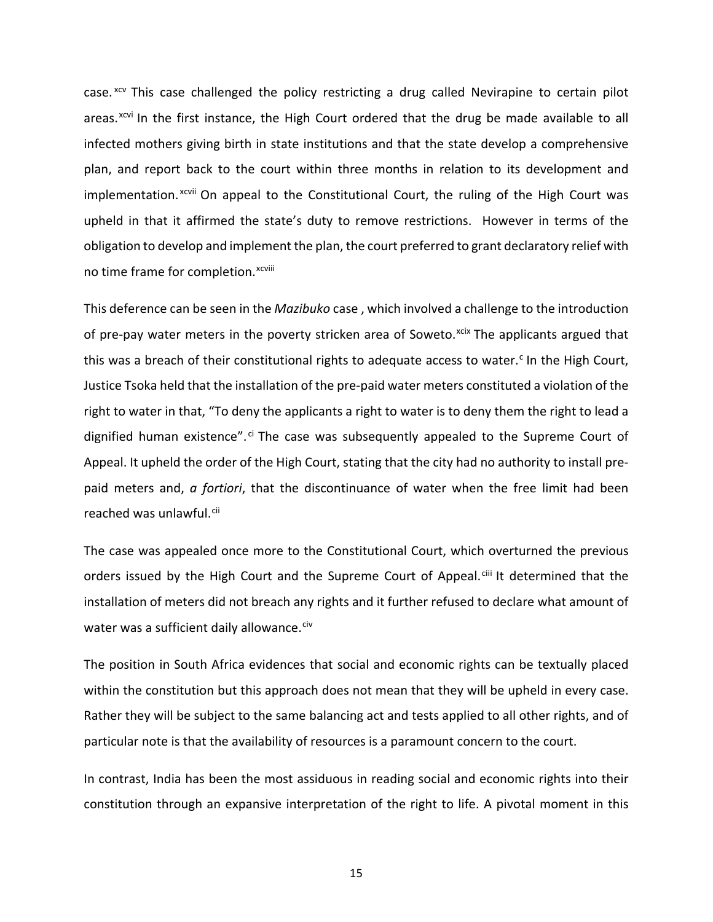case. <sup>[xcv](#page-5-13)</sup> This case challenged the policy restricting a drug called Nevirapine to certain pilot implementation.<sup>xcvii</sup> On appeal to the Constitutional Court, the ruling of the High Court was no t[i](#page-5-15)me frame for completion.<sup>xcviii</sup> areas.<sup>[xcvi](#page-5-14)</sup> In the first instance, the High Court ordered that the drug be made available to all infected mothers giving birth in state institutions and that the state develop a comprehensive plan, and report back to the court within three months in relation to its development and upheld in that it affirmed the state's duty to remove restrictions. However in terms of the obligation to develop and implement the plan, the court preferred to grant declaratory relief with

This deference can be seen in the *Mazibuko* case , which involved a challenge to the introduction of pre-pay water meters in the poverty stricken area of Soweto.<sup>[xcix](#page-5-16)</sup> The applicants argued that this was a brea[c](#page-5-17)h of their constitutional rights to adequate access to water.<sup>c</sup> In the High Court, Justice Tsoka held that the installation of the pre-paid water meters constituted a violation of the right to water in that, "To deny the applicants a right to water is to deny them the right to lead a dignified human existence".<sup>[ci](#page-5-18)</sup> The case was subsequently appealed to the Supreme Court of Appeal. It upheld the order of the High Court, stating that the city had no authority to install prepaid meters and, *a fortiori*, that the discontinuance of water when the free limit had been reached was unlawful.<sup>[cii](#page-5-19)</sup>

The case was appealed once more to the Constitutional Court, which overturned the previous orders issued by the High Court and the Supreme Court of Appeal.<sup>[ciii](#page-5-20)</sup> It determined that the installation of meters did not breach any rights and it further refused to declare what amount of water was a sufficient daily allowance.<sup>[civ](#page-5-21)</sup>

The position in South Africa evidences that social and economic rights can be textually placed within the constitution but this approach does not mean that they will be upheld in every case. Rather they will be subject to the same balancing act and tests applied to all other rights, and of particular note is that the availability of resources is a paramount concern to the court.

In contrast, India has been the most assiduous in reading social and economic rights into their constitution through an expansive interpretation of the right to life. A pivotal moment in this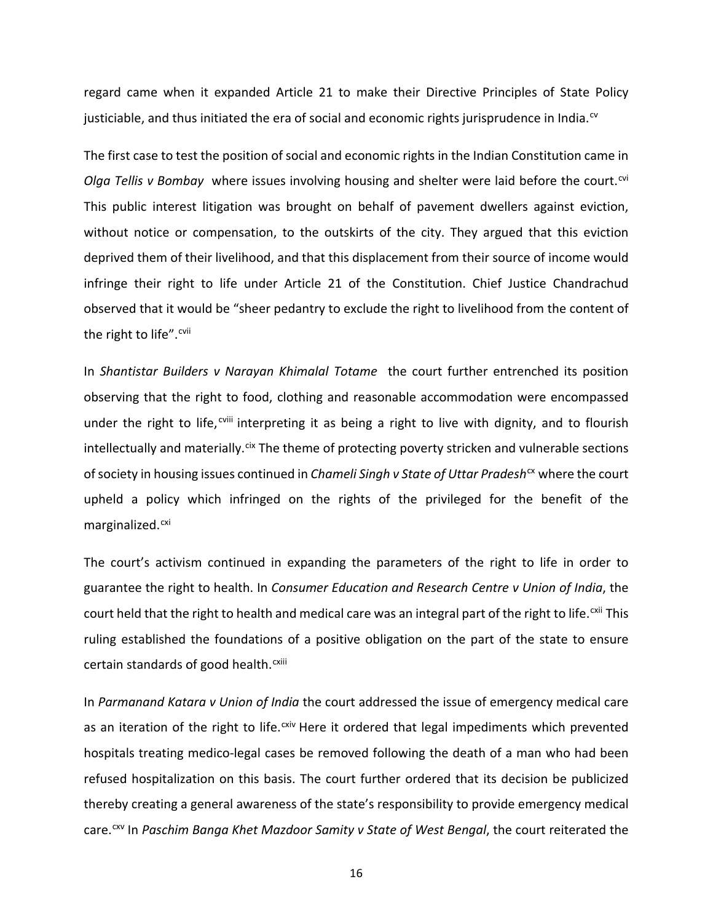regard came when it expanded Article 21 to make their Directive Principles of State Policy justiciable, and thus initiated the era of social and economic rights jurisprudence in India. $\alpha$ 

The first case to test the position of social and economic rights in the Indian Constitution came in *Olga Tellis v Bombay* where issues involving housing and shelter were laid before the court.<sup>[cvi](#page-5-23)</sup> This public interest litigation was brought on behalf of pavement dwellers against eviction, without notice or compensation, to the outskirts of the city. They argued that this eviction deprived them of their livelihood, and that this displacement from their source of income would infringe their right to life under Article 21 of the Constitution. Chief Justice Chandrachud observed that it would be "sheer pedantry to exclude the right to livelihood from the content of the right to life".<sup>[cvii](#page-5-24)</sup>

In *Shantistar Builders v Narayan Khimalal Totame* the court further entrenched its position observing that the right to food, clothing and reasonable accommodation were encompassed under the r[i](#page-5-25)ght to life, <sup>cviii</sup> interpreting it as being a right to live with dignity, and to flourish intellectually and materially.<sup>[cix](#page-5-26)</sup> The theme of protecting poverty stricken and vulnerable sections ofsociety in housing issues continued in *Chameli Singh v State of Uttar Pradesh*[cx](#page-6-0) where the court upheld a policy which infringed on the rights of the privileged for the benefit of the marginalized.<sup>[cxi](#page-6-1)</sup>

The court's activism continued in expanding the parameters of the right to life in order to guarantee the right to health. In *Consumer Education and Research Centre v Union of India*, the court held that the right to health and medical care was an integral part of the right to life.<sup>[cxii](#page-6-2)</sup> This certain standards of good health.<sup>cxiii</sup> ruling established the foundations of a positive obligation on the part of the state to ensure

In *Parmanand Katara v Union of India* the court addressed the issue of emergency medical care as an iteration of the right to life.<sup>[cxiv](#page-6-3)</sup> Here it ordered that legal impediments which prevented hospitals treating medico-legal cases be removed following the death of a man who had been refused hospitalization on this basis. The court further ordered that its decision be publicized thereby creating a general awareness of the state's responsibility to provide emergency medical care.[cxv](#page-6-4) In *Paschim Banga Khet Mazdoor Samity v State of West Bengal*, the court reiterated the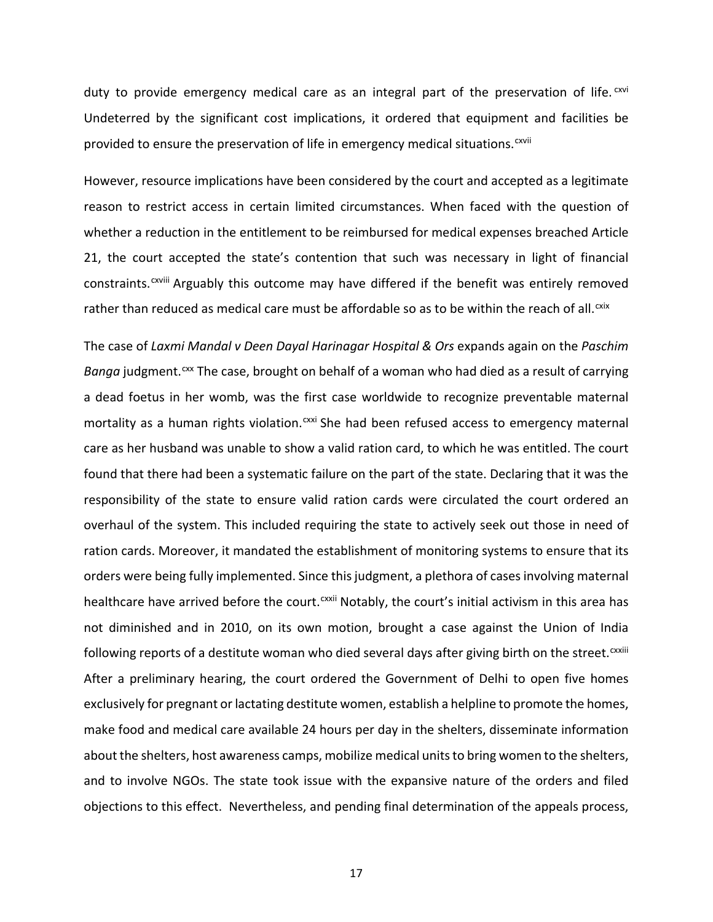duty to provide emergency medical care as an integral part of the preservation of life.<sup>[cxvi](#page-6-5)</sup> prov[i](#page-6-6)ded to ensure the preservation of life in emergency medical situations.<sup>cxvii</sup> Undeterred by the significant cost implications, it ordered that equipment and facilities be

However, resource implications have been considered by the court and accepted as a legitimate reason to restrict access in certain limited circumstances. When faced with the question of whether a reduction in the entitlement to be reimbursed for medical expenses breached Article 21, the court accepted the state's contention that such was necessary in light of financial constraints.<sup>cxviii</sup> [A](#page-6-7)rguably this outcome may have differed if the benefit was entirely removed rather than reduced as medical care must be affordable so as to be within the reach of all.<sup>[cxix](#page-6-8)</sup>

The case of *Laxmi Mandal v Deen Dayal Harinagar Hospital & Ors* expands again on the *Paschim* Banga judgment.<sup>[cxx](#page-6-9)</sup> The case, brought on behalf of a woman who had died as a result of carrying healthcare have arrived before the court.<sup>cxxii</sup> Notably, the court's initial activism in this area has a dead foetus in her womb, was the first case worldwide to recognize preventable maternal mortality as a human rights violation. CXXi She had been refused access to emergency maternal care as her husband was unable to show a valid ration card, to which he was entitled. The court found that there had been a systematic failure on the part of the state. Declaring that it was the responsibility of the state to ensure valid ration cards were circulated the court ordered an overhaul of the system. This included requiring the state to actively seek out those in need of ration cards. Moreover, it mandated the establishment of monitoring systems to ensure that its orders were being fully implemented. Since this judgment, a plethora of cases involving maternal not diminished and in 2010, on its own motion, brought a case against the Union of India following reports of a destitute woman who died several days after giving birth on the street.<sup>cxxiii</sup> After a preliminary hearing, the court ordered the Government of Delhi to open five homes exclusively for pregnant or lactating destitute women, establish a helpline to promote the homes, make food and medical care available 24 hours per day in the shelters, disseminate information about the shelters, host awareness camps, mobilize medical unitsto bring women to the shelters, and to involve NGOs. The state took issue with the expansive nature of the orders and filed objections to this effect. Nevertheless, and pending final determination of the appeals process,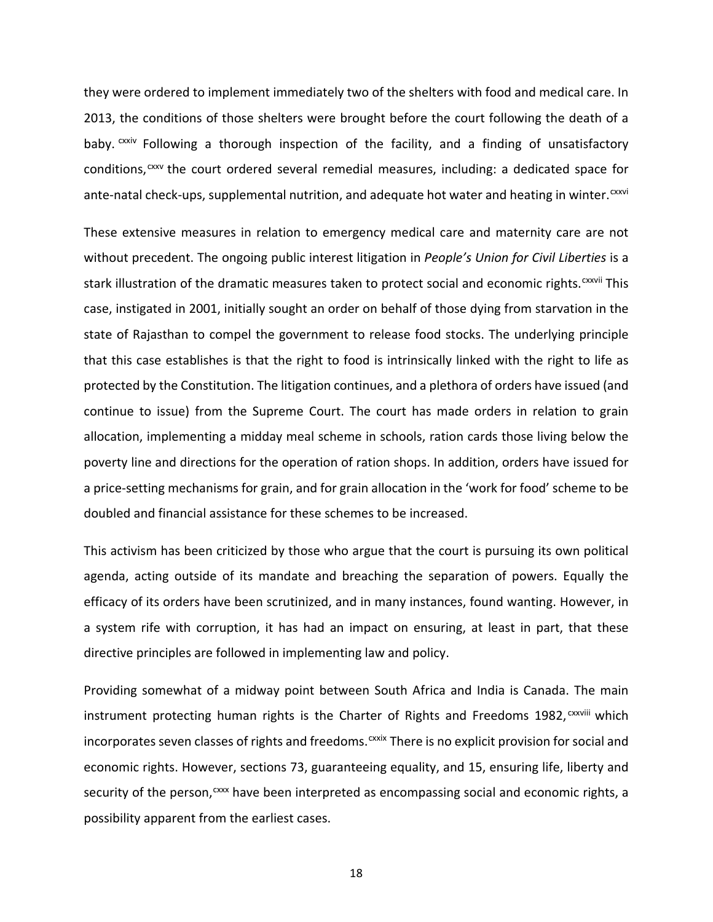they were ordered to implement immediately two of the shelters with food and medical care. In 2013, the conditions of those shelters were brought before the court following the death of a baby. CXXIV [F](#page-6-11)ollowing a thorough inspection of the facility, and a finding of unsatisfactory ante-natal check-ups, supplemental nutrition, and adequate hot water and heating in winter.  $c^{xxvi}$ conditions,  $cxxv$  the court ordered several remedial measures, including: a dedicated space for

These extensive measures in relation to emergency medical care and maternity care are not without precedent. The ongoing public interest litigation in *People's Union for Civil Liberties* is a stark illustration of the dramatic measures taken to protect social and economic rights.<sup>CXXVII</sup> This case, instigated in 2001, initially sought an order on behalf of those dying from starvation in the state of Rajasthan to compel the government to release food stocks. The underlying principle that this case establishes is that the right to food is intrinsically linked with the right to life as protected by the Constitution. The litigation continues, and a plethora of orders have issued (and continue to issue) from the Supreme Court. The court has made orders in relation to grain allocation, implementing a midday meal scheme in schools, ration cards those living below the poverty line and directions for the operation of ration shops. In addition, orders have issued for a price-setting mechanisms for grain, and for grain allocation in the 'work for food' scheme to be doubled and financial assistance for these schemes to be increased.

This activism has been criticized by those who argue that the court is pursuing its own political agenda, acting outside of its mandate and breaching the separation of powers. Equally the efficacy of its orders have been scrutinized, and in many instances, found wanting. However, in a system rife with corruption, it has had an impact on ensuring, at least in part, that these directive principles are followed in implementing law and policy.

Providing somewhat of a midway point between South Africa and India is Canada. The main instrument protecting human rights is the Charter of Rights and Freedoms 1982, CXXVIII which incorporates seven classes of rights and freedoms. CXXIX There is no e[x](#page-6-13)plicit provision for social and economic rights. However, sections 73, guaranteeing equality, and 15, ensuring life, liberty and security of the person, CXXX have been interpreted as encompassing social and economic rights, a possibility apparent from the earliest cases.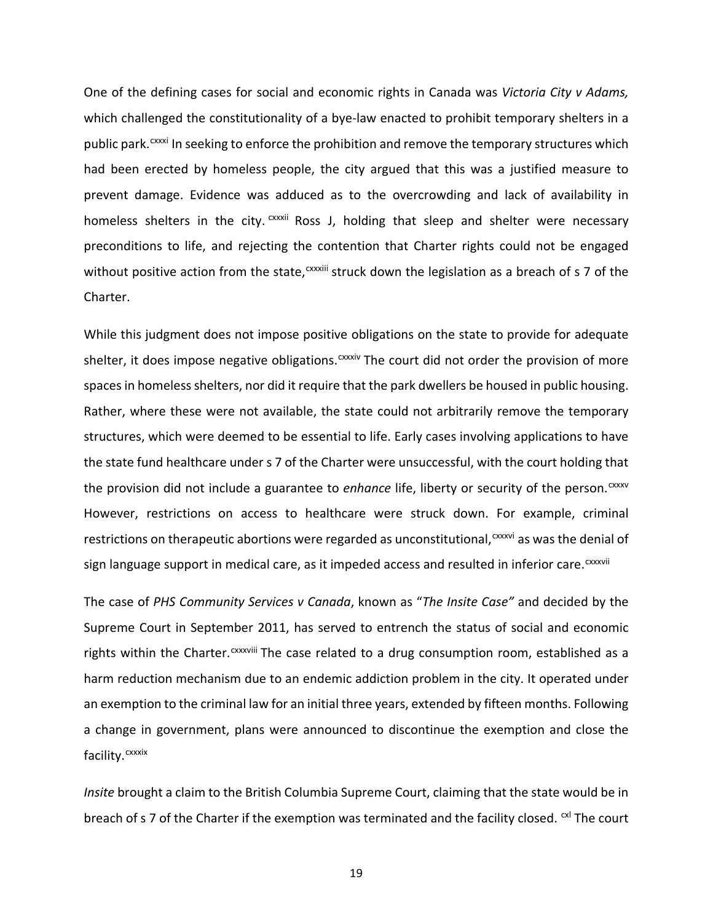One of the defining cases for social and economic rights in Canada was *Victoria City v Adams,* which challenged the constitutionality of a bye-law enacted to prohibit temporary shelters in a public park.<sup>cxxxi</sup> In seeking to enforce the prohibition and remove the temporary structures which homeless shelters in the city. CXXXII Ross J, holding that sleep and shelter were necessary without po[s](#page-6-15)itive action from the state, CXXXIII struck down the legislation as a breach of s 7 of the had been erected by homeless people, the city argued that this was a justified measure to prevent damage. Evidence was adduced as to the overcrowding and lack of availability in preconditions to life, and rejecting the contention that Charter rights could not be engaged Charter.

While this judgment does not impose positive obligations on the state to provide for adequate shelter, it does impose negative obligations.<sup>cxxxiv</sup> The court did not order the provision of more spaces in homeless shelters, nor did it require that the park dwellers be housed in public housing. Rather, where these were not available, the state could not arbitrarily remove the temporary structures, which were deemed to be essential to life. Early cases involving applications to have the state fund healthcare under s 7 of the Charter were unsuccessful, with the court holding that the pro[v](#page-7-0)ision did not include a guarantee to *enhance* life, liberty or security of the person.<sup>cxxxv</sup> restrictions on ther[a](#page-7-1)peutic abortions were regarded as unconstitutional,<sup>cxxxvi</sup> as was the denial of sign language support in medical care, as it impeded access and resulted in inferior care.<sup>cxxxvii</sup> However, restrictions on access to healthcare were struck down. For example, criminal

The case of *PHS Community Services v Canada*, known as "*The Insite Case"* and decided by the Supreme Court in September 2011, has served to entrench the status of social and economic r[i](#page-7-2)ghts within the Charter. CXXXVIII The case related to a drug consumption room, established as a facility.<sup>cxxxix</sup> harm reduction mechanism due to an endemic addiction problem in the city. It operated under an exemption to the criminal law for an initial three years, extended by fifteen months. Following a change in government, plans were announced to discontinue the exemption and close the

*Insite* brought a claim to the British Columbia Supreme Court, claiming that the state would be in breach of s 7 of the Charter if the exemption was terminated and the facility closed.  $\alpha$  The court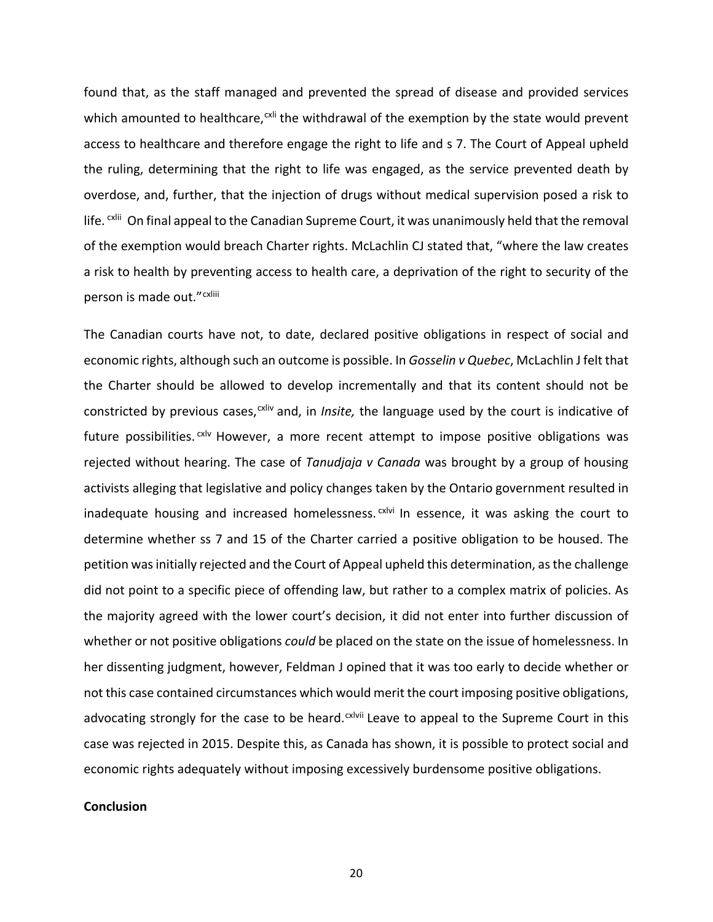found that, as the staff managed and prevented the spread of disease and provided services which amounted to healthcare,<sup>[cxli](#page-7-4)</sup> the withdrawal of the exemption by the state would prevent life. <sup>cxlii</sup> [O](#page-7-5)n final appeal to the Canadian Supreme Court, it was unanimously held that the removal person [i](#page-7-6)s made out."<sup>cxliii</sup> access to healthcare and therefore engage the right to life and s 7. The Court of Appeal upheld the ruling, determining that the right to life was engaged, as the service prevented death by overdose, and, further, that the injection of drugs without medical supervision posed a risk to of the exemption would breach Charter rights. McLachlin CJ stated that, "where the law creates a risk to health by preventing access to health care, a deprivation of the right to security of the

The Canadian courts have not, to date, declared positive obligations in respect of social and economic rights, although such an outcome is possible. In *Gosselin v Quebec*, McLachlin J felt that the Charter should be allowed to develop incrementally and that its content should not be constricted by pre[v](#page-7-7)ious cases,<sup>cxliv</sup> and, in *Insite*, the language used by the court is indicative of inadequate housing and increased homelessness.<sup>cxlvi</sup> In essence, it was asking the court to future possibilities.  $\alpha$ <sup>lv</sup> However, a more recent attempt to impose positive obligations was rejected without hearing. The case of *Tanudjaja v Canada* was brought by a group of housing activists alleging that legislative and policy changes taken by the Ontario government resulted in determine whether ss 7 and 15 of the Charter carried a positive obligation to be housed. The petition wasinitially rejected and the Court of Appeal upheld this determination, asthe challenge did not point to a specific piece of offending law, but rather to a complex matrix of policies. As the majority agreed with the lower court's decision, it did not enter into further discussion of whether or not positive obligations *could* be placed on the state on the issue of homelessness. In her dissenting judgment, however, Feldman J opined that it was too early to decide whether or not this case contained circumstances which would merit the court imposing positive obligations, advocating strongly for the case to be heard. $c$ xlvii Leave to appeal to the Supreme Court in this case was rejected in 2015. Despite this, as Canada has shown, it is possible to protect social and economic rights adequately without imposing excessively burdensome positive obligations.

# **Conclusion**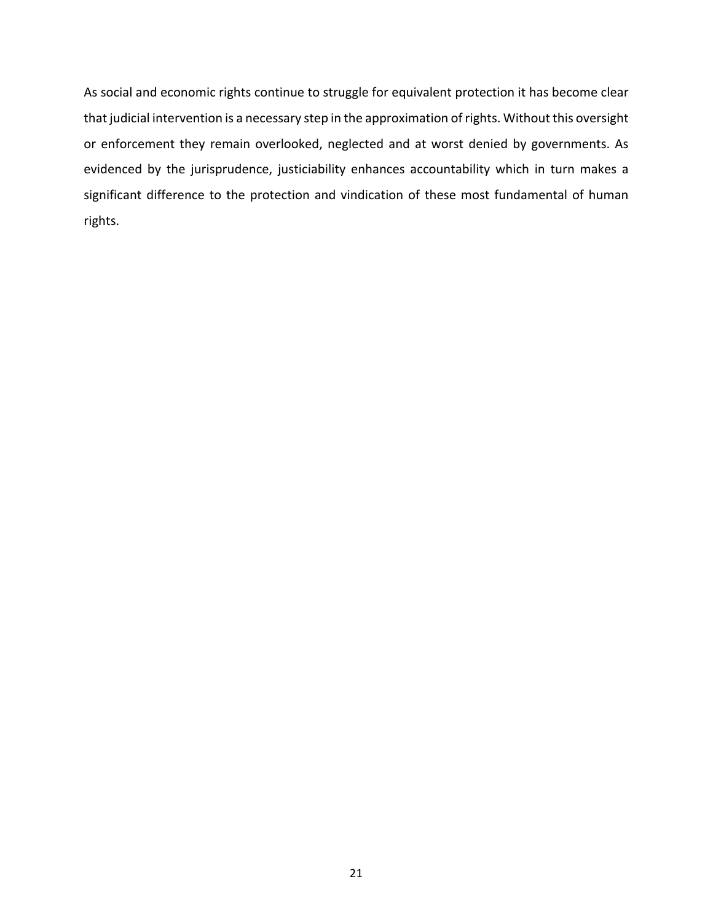As social and economic rights continue to struggle for equivalent protection it has become clear that judicial intervention is a necessary step in the approximation of rights. Without this oversight or enforcement they remain overlooked, neglected and at worst denied by governments. As evidenced by the jurisprudence, justiciability enhances accountability which in turn makes a significant difference to the protection and vindication of these most fundamental of human rights.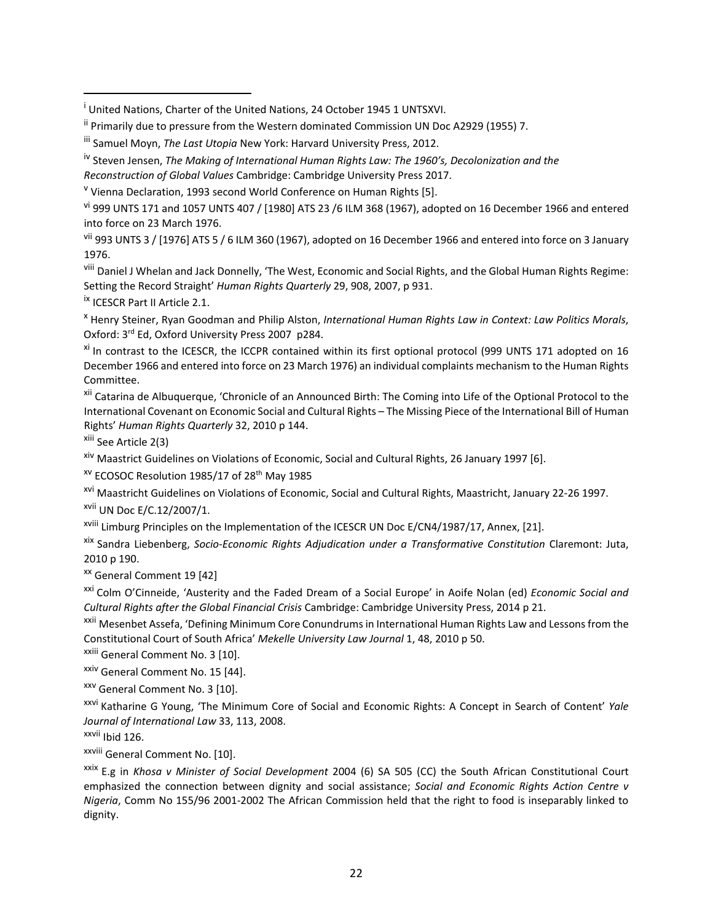vi 999 UNTS 171 and 1057 UNTS 407 / [1980] ATS 23 /6 ILM 368 (1967), adopted on 16 December 1966 and entered into force on 23 March 1976.

vii 993 UNTS 3 / [1976] ATS 5 / 6 ILM 360 (1967), adopted on 16 December 1966 and entered into force on 3 January 1976.

viii Daniel J Whelan and Jack Donnelly, 'The West, Economic and Social Rights, and the Global Human Rights Regime: Setting the Record Straight' *Human Rights Quarterly* 29, 908, 2007, p 931.

<sup>ix</sup> ICESCR Part II Article 2.1.

 $\overline{a}$ 

<sup>x</sup> Henry Steiner, Ryan Goodman and Philip Alston, *International Human Rights Law in Context: Law Politics Morals*, Oxford: 3rd Ed, Oxford University Press 2007 p284.

<sup>xi</sup> In contrast to the ICESCR, the ICCPR contained within its first optional protocol (999 UNTS 171 adopted on 16 December 1966 and entered into force on 23 March 1976) an individual complaints mechanism to the Human Rights Committee.

xii Catarina de Albuquerque, 'Chronicle of an Announced Birth: The Coming into Life of the Optional Protocol to the International Covenant on Economic Social and Cultural Rights – The Missing Piece of the International Bill of Human Rights' *Human Rights Quarterly* 32, 2010 p 144.

xiii See Article 2(3)

<sup>xiv</sup> Maastrict Guidelines on Violations of Economic, Social and Cultural Rights, 26 January 1997 [6].

<sup>XV</sup> ECOSOC Resolution 1985/17 of 28<sup>th</sup> May 1985

xvi Maastricht Guidelines on Violations of Economic, Social and Cultural Rights, Maastricht, January 22-26 1997.

xvii UN Doc E/C.12/2007/1.

xviii Limburg Principles on the Implementation of the ICESCR UN Doc E/CN4/1987/17, Annex, [21].

xix Sandra Liebenberg, *Socio-Economic Rights Adjudication under a Transformative Constitution* Claremont: Juta, 2010 p 190.

xx General Comment 19 [42]

xxi Colm O'Cinneide, 'Austerity and the Faded Dream of a Social Europe' in Aoife Nolan (ed) *Economic Social and Cultural Rights after the Global Financial Crisis* Cambridge: Cambridge University Press, 2014 p 21.

<sup>xxii</sup> Mesenbet Assefa, 'Defining Minimum Core Conundrums in International Human Rights Law and Lessons from the Constitutional Court of South Africa' *Mekelle University Law Journal* 1, 48, 2010 p 50.

xxiii General Comment No. 3 [10].

xxiv General Comment No. 15 [44].

xxv General Comment No. 3 [10].

xxvi Katharine G Young, 'The Minimum Core of Social and Economic Rights: A Concept in Search of Content' *Yale Journal of International Law* 33, 113, 2008.

xxvii Ibid 126.

xxviii General Comment No. [10].

xxix E.g in *Khosa v Minister of Social Development* 2004 (6) SA 505 (CC) the South African Constitutional Court emphasized the connection between dignity and social assistance; *Social and Economic Rights Action Centre v Nigeria*, Comm No 155/96 2001-2002 The African Commission held that the right to food is inseparably linked to dignity.

<sup>&</sup>lt;sup>i</sup> United Nations, Charter of the United Nations, 24 October 1945 1 UNTSXVI.

<sup>&</sup>lt;sup>ii</sup> Primarily due to pressure from the Western dominated Commission UN Doc A2929 (1955) 7.

iii Samuel Moyn, *The Last Utopia* New York: Harvard University Press, 2012.

iv Steven Jensen, *The Making of International Human Rights Law: The 1960's, Decolonization and the Reconstruction of Global Values* Cambridge: Cambridge University Press 2017.

<sup>&</sup>lt;sup>v</sup> Vienna Declaration, 1993 second World Conference on Human Rights [5].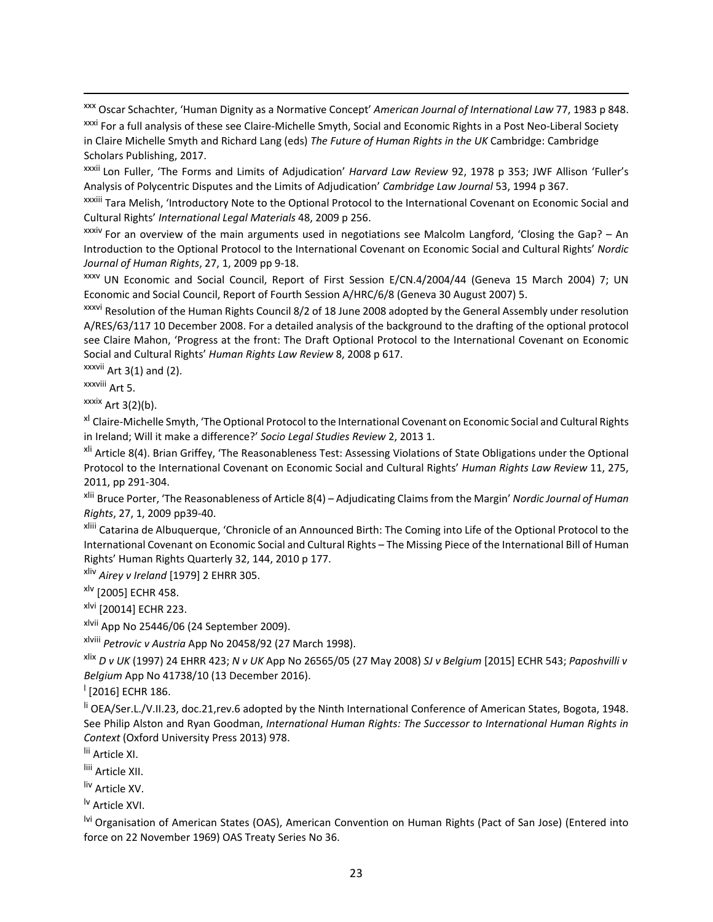xxx Oscar Schachter, 'Human Dignity as a Normative Concept' *American Journal of International Law* 77, 1983 p 848.

xxxi For a full analysis of these see Claire-Michelle Smyth, Social and Economic Rights in a Post Neo-Liberal Society in Claire Michelle Smyth and Richard Lang (eds) *The Future of Human Rights in the UK* Cambridge: Cambridge Scholars Publishing, 2017.

xxxii Lon Fuller, 'The Forms and Limits of Adjudication' *Harvard Law Review* 92, 1978 p 353; JWF Allison 'Fuller's Analysis of Polycentric Disputes and the Limits of Adjudication' *Cambridge Law Journal* 53, 1994 p 367.

xxxiii Tara Melish, 'Introductory Note to the Optional Protocol to the International Covenant on Economic Social and Cultural Rights' *International Legal Materials* 48, 2009 p 256.

 $x$ <sup>xxxiv</sup> For an overview of the main arguments used in negotiations see Malcolm Langford, 'Closing the Gap? – An Introduction to the Optional Protocol to the International Covenant on Economic Social and Cultural Rights' *Nordic Journal of Human Rights*, 27, 1, 2009 pp 9-18.

xxxv UN Economic and Social Council, Report of First Session E/CN.4/2004/44 (Geneva 15 March 2004) 7; UN Economic and Social Council, Report of Fourth Session A/HRC/6/8 (Geneva 30 August 2007) 5.

xxxvi Resolution of the Human Rights Council 8/2 of 18 June 2008 adopted by the General Assembly under resolution A/RES/63/117 10 December 2008. For a detailed analysis of the background to the drafting of the optional protocol see Claire Mahon, 'Progress at the front: The Draft Optional Protocol to the International Covenant on Economic Social and Cultural Rights' *Human Rights Law Review* 8, 2008 p 617.

 $xxxvii$  Art 3(1) and (2).

xxxviii Art 5.

 $\overline{a}$ 

 $xxx$ ix Art 3(2)(b).

<sup>xl</sup> Claire-Michelle Smyth, 'The Optional Protocol to the International Covenant on Economic Social and Cultural Rights in Ireland; Will it make a difference?' *Socio Legal Studies Review* 2, 2013 1.

<sup>xli</sup> Article 8(4). Brian Griffey, 'The Reasonableness Test: Assessing Violations of State Obligations under the Optional Protocol to the International Covenant on Economic Social and Cultural Rights' *Human Rights Law Review* 11, 275, 2011, pp 291-304.

xlii Bruce Porter, 'The Reasonableness of Article 8(4) – Adjudicating Claimsfrom the Margin' *Nordic Journal of Human Rights*, 27, 1, 2009 pp39-40.

xliii Catarina de Albuquerque, 'Chronicle of an Announced Birth: The Coming into Life of the Optional Protocol to the International Covenant on Economic Social and Cultural Rights – The Missing Piece of the International Bill of Human Rights' Human Rights Quarterly 32, 144, 2010 p 177.

xliv *Airey v Ireland* [1979] 2 EHRR 305.

 $x$ <sup>lv</sup> [2005] ECHR 458.

xlvi [20014] ECHR 223.

 $x$ lvii App No 25446/06 (24 September 2009).

xlviii *Petrovic v Austria* App No 20458/92 (27 March 1998).

xlix *D v UK* (1997) 24 EHRR 423; *N v UK* App No 26565/05 (27 May 2008) *SJ v Belgium* [2015] ECHR 543; *Paposhvilli v Belgium* App No 41738/10 (13 December 2016).

 $\frac{1}{2016}$  ECHR 186.

li OEA/Ser.L./V.II.23, doc.21,rev.6 adopted by the Ninth International Conference of American States, Bogota, 1948. See Philip Alston and Ryan Goodman, *International Human Rights: The Successor to International Human Rights in Context* (Oxford University Press 2013) 978.

lii Article XI.

liii Article XII.

liv Article XV.

lv Article XVI.

<sup>lvi</sup> Organisation of American States (OAS), American Convention on Human Rights (Pact of San Jose) (Entered into force on 22 November 1969) OAS Treaty Series No 36.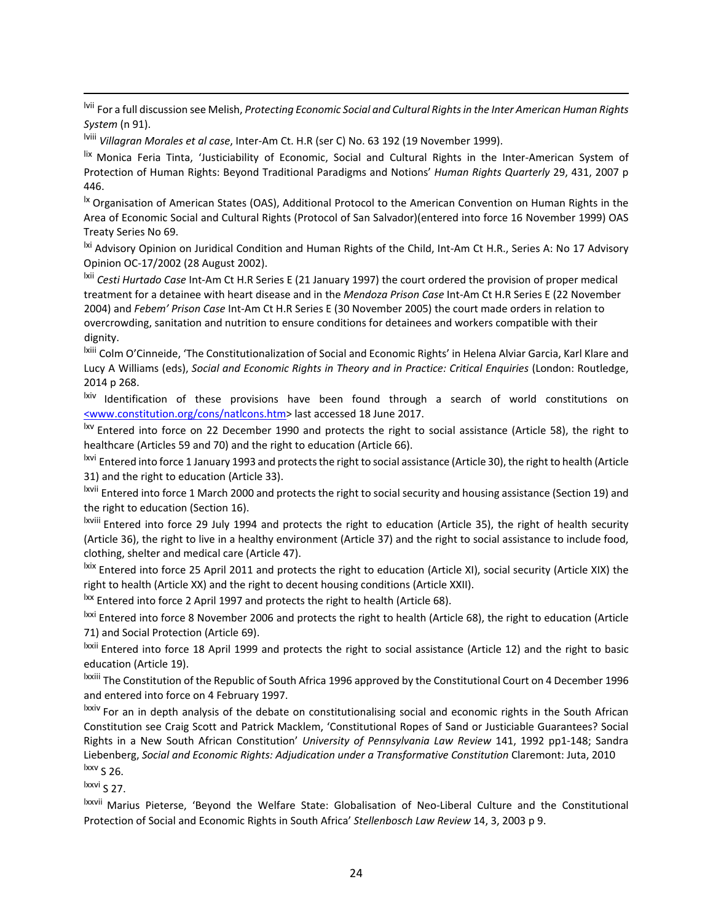lvii For a full discussion see Melish, *Protecting Economic Social and Cultural Rightsin the Inter American Human Rights System* (n 91).

lviii *Villagran Morales et al case*, Inter-Am Ct. H.R (ser C) No. 63 192 (19 November 1999).

lix Monica Feria Tinta, 'Justiciability of Economic, Social and Cultural Rights in the Inter-American System of Protection of Human Rights: Beyond Traditional Paradigms and Notions' *Human Rights Quarterly* 29, 431, 2007 p 446.

<sup>1x</sup> Organisation of American States (OAS), Additional Protocol to the American Convention on Human Rights in the Area of Economic Social and Cultural Rights (Protocol of San Salvador)(entered into force 16 November 1999) OAS Treaty Series No 69.

<sup>|xi</sup> Advisory Opinion on Juridical Condition and Human Rights of the Child, Int-Am Ct H.R., Series A: No 17 Advisory Opinion OC-17/2002 (28 August 2002).

lxii *Cesti Hurtado Case* Int-Am Ct H.R Series E (21 January 1997) the court ordered the provision of proper medical treatment for a detainee with heart disease and in the *Mendoza Prison Case* Int-Am Ct H.R Series E (22 November 2004) and *Febem' Prison Case* Int-Am Ct H.R Series E (30 November 2005) the court made orders in relation to overcrowding, sanitation and nutrition to ensure conditions for detainees and workers compatible with their dignity.

lxiii Colm O'Cinneide, 'The Constitutionalization of Social and Economic Rights' in Helena Alviar Garcia, Karl Klare and Lucy A Williams (eds), *Social and Economic Rights in Theory and in Practice: Critical Enquiries* (London: Routledge, 2014 p 268.

lxiv Identification of these provisions have been found through a search of world constitutions on [<www.constitution.org/cons/natlcons.htm>](http://www.constitution.org/cons/natlcons.htm) last accessed 18 June 2017.

<sup>Ixv</sup> Entered into force on 22 December 1990 and protects the right to social assistance (Article 58), the right to healthcare (Articles 59 and 70) and the right to education (Article 66).

<sup>lxvi</sup> Entered into force 1 January 1993 and protects the right to social assistance (Article 30), the right to health (Article 31) and the right to education (Article 33).

lxvii Entered into force 1 March 2000 and protects the right to social security and housing assistance (Section 19) and the right to education (Section 16).

lxviii Entered into force 29 July 1994 and protects the right to education (Article 35), the right of health security (Article 36), the right to live in a healthy environment (Article 37) and the right to social assistance to include food, clothing, shelter and medical care (Article 47).

lxix Entered into force 25 April 2011 and protects the right to education (Article XI), social security (Article XIX) the right to health (Article XX) and the right to decent housing conditions (Article XXII).

<sup>Ixx</sup> Entered into force 2 April 1997 and protects the right to health (Article 68).

lxxi Entered into force 8 November 2006 and protects the right to health (Article 68), the right to education (Article 71) and Social Protection (Article 69).

lxxii Entered into force 18 April 1999 and protects the right to social assistance (Article 12) and the right to basic education (Article 19).

lxxiii The Constitution of the Republic of South Africa 1996 approved by the Constitutional Court on 4 December 1996 and entered into force on 4 February 1997.

lxxiv For an in depth analysis of the debate on constitutionalising social and economic rights in the South African Constitution see Craig Scott and Patrick Macklem, 'Constitutional Ropes of Sand or Justiciable Guarantees? Social Rights in a New South African Constitution' *University of Pennsylvania Law Review* 141, 1992 pp1-148; Sandra Liebenberg, *Social and Economic Rights: Adjudication under a Transformative Constitution* Claremont: Juta, 2010  $lxxv$  S 26.

 $lxxvi$  S 27.

 $\overline{a}$ 

lxxvii Marius Pieterse, 'Beyond the Welfare State: Globalisation of Neo-Liberal Culture and the Constitutional Protection of Social and Economic Rights in South Africa' *Stellenbosch Law Review* 14, 3, 2003 p 9.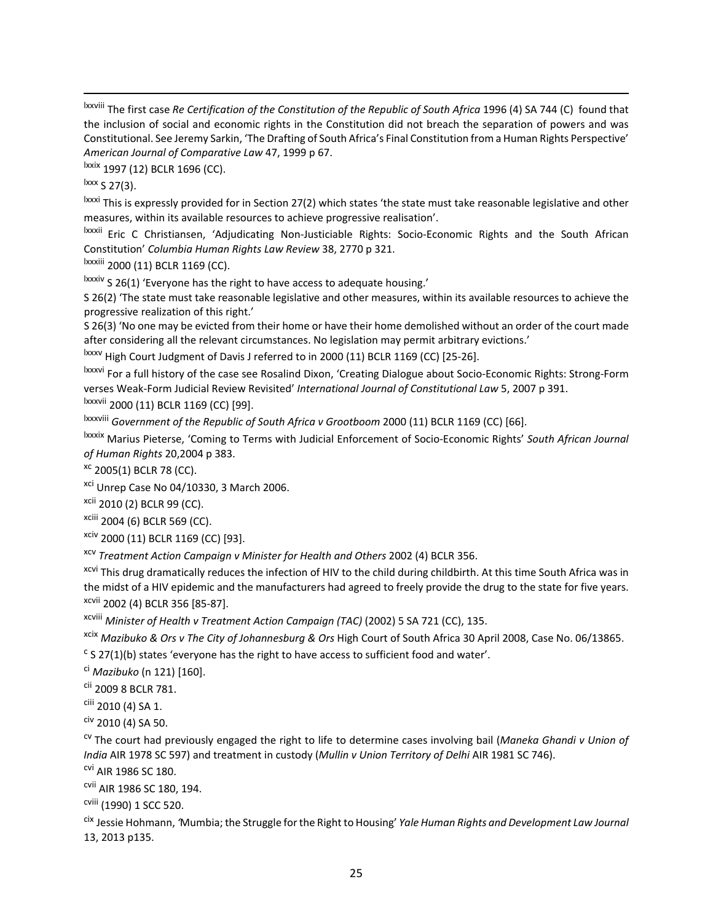lxxviii The first case *Re Certification of the Constitution of the Republic of South Africa* 1996 (4) SA 744 (C) found that the inclusion of social and economic rights in the Constitution did not breach the separation of powers and was Constitutional. See Jeremy Sarkin, 'The Drafting of South Africa's Final Constitution from a Human Rights Perspective' *American Journal of Comparative Law* 47, 1999 p 67.

lxxix 1997 (12) BCLR 1696 (CC).

 $\frac{lxxx}{s}$  S 27(3).

 $\overline{a}$ 

lxxxi This is expressly provided for in Section 27(2) which states 'the state must take reasonable legislative and other measures, within its available resources to achieve progressive realisation'.

lxxxii Eric C Christiansen, 'Adjudicating Non-Justiciable Rights: Socio-Economic Rights and the South African Constitution' *Columbia Human Rights Law Review* 38, 2770 p 321.

lxxxiii 2000 (11) BCLR 1169 (CC).

lxxxiv S 26(1) 'Everyone has the right to have access to adequate housing.'

S 26(2) 'The state must take reasonable legislative and other measures, within its available resources to achieve the progressive realization of this right.'

S 26(3) 'No one may be evicted from their home or have their home demolished without an order of the court made after considering all the relevant circumstances. No legislation may permit arbitrary evictions.'

lxxxv High Court Judgment of Davis J referred to in 2000 (11) BCLR 1169 (CC) [25-26].

lxxxvi For a full history of the case see Rosalind Dixon, 'Creating Dialogue about Socio-Economic Rights: Strong-Form verses Weak-Form Judicial Review Revisited' *International Journal of Constitutional Law* 5, 2007 p 391. lxxxvii 2000 (11) BCLR 1169 (CC) [99].

lxxxviii *Government of the Republic of South Africa v Grootboom* 2000 (11) BCLR 1169 (CC) [66].

lxxxix Marius Pieterse, 'Coming to Terms with Judicial Enforcement of Socio-Economic Rights' *South African Journal of Human Rights* 20,2004 p 383.

<sup>xc</sup> 2005(1) BCLR 78 (CC).

<sup>xci</sup> Unrep Case No 04/10330, 3 March 2006.

xcii 2010 (2) BCLR 99 (CC).

xciii 2004 (6) BCLR 569 (CC).

xciv 2000 (11) BCLR 1169 (CC) [93].

xcv *Treatment Action Campaign v Minister for Health and Others* 2002 (4) BCLR 356.

<sup>xcvi</sup> This drug dramatically reduces the infection of HIV to the child during childbirth. At this time South Africa was in the midst of a HIV epidemic and the manufacturers had agreed to freely provide the drug to the state for five years. xcvii 2002 (4) BCLR 356 [85-87].

xcviii *Minister of Health v Treatment Action Campaign (TAC)* (2002) 5 SA 721 (CC), 135.

xcix *Mazibuko & Ors v The City of Johannesburg & Ors* High Court of South Africa 30 April 2008, Case No. 06/13865.

 $c$  S 27(1)(b) states 'everyone has the right to have access to sufficient food and water'.

ci *Mazibuko* (n 121) [160].

cii 2009 8 BCLR 781.

ciii 2010 (4) SA 1.

 $C$ iv 2010 (4) SA 50.

cv The court had previously engaged the right to life to determine cases involving bail (*Maneka Ghandi v Union of India* AIR 1978 SC 597) and treatment in custody (*Mullin v Union Territory of Delhi* AIR 1981 SC 746).

cvi AIR 1986 SC 180.

cvii AIR 1986 SC 180, 194.

cviii (1990) 1 SCC 520.

cix Jessie Hohmann, *'*Mumbia; the Struggle forthe Right to Housing' *Yale Human Rights and Development Law Journal* 13, 2013 p135.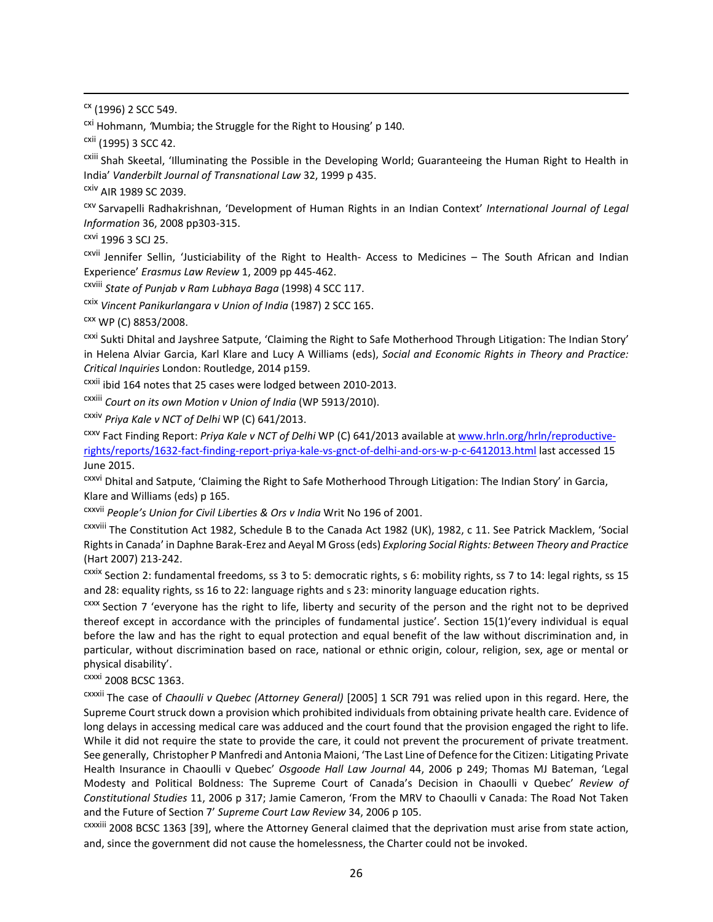$\alpha$  (1996) 2 SCC 549.

 $\overline{a}$ 

cxi Hohmann, *'*Mumbia; the Struggle for the Right to Housing' p 140.

cxii (1995) 3 SCC 42.

cxiii Shah Skeetal, 'Illuminating the Possible in the Developing World; Guaranteeing the Human Right to Health in India' *Vanderbilt Journal of Transnational Law* 32, 1999 p 435.

cxiv AIR 1989 SC 2039.

cxv Sarvapelli Radhakrishnan, 'Development of Human Rights in an Indian Context' *International Journal of Legal Information* 36, 2008 pp303-315.

cxvi 1996 3 SCJ 25.

cxvii Jennifer Sellin, 'Justiciability of the Right to Health- Access to Medicines – The South African and Indian Experience' *Erasmus Law Review* 1, 2009 pp 445-462.

cxviii *State of Punjab v Ram Lubhaya Baga* (1998) 4 SCC 117.

cxix *Vincent Panikurlangara v Union of India* (1987) 2 SCC 165.

 $CXX$  WP (C) 8853/2008.

cxxi Sukti Dhital and Jayshree Satpute, 'Claiming the Right to Safe Motherhood Through Litigation: The Indian Story' in Helena Alviar Garcia, Karl Klare and Lucy A Williams (eds), *Social and Economic Rights in Theory and Practice: Critical Inquiries* London: Routledge, 2014 p159.

cxxii ibid 164 notes that 25 cases were lodged between 2010-2013.

cxxiii *Court on its own Motion v Union of India* (WP 5913/2010).

cxxiv *Priya Kale v NCT of Delhi* WP (C) 641/2013.

cxxv Fact Finding Report: *Priya Kale v NCT of Delhi* WP (C) 641/2013 available at [www.hrln.org/hrln/reproductive](http://www.hrln.org/hrln/reproductive-rights/reports/1632-fact-finding-report-priya-kale-vs-gnct-of-delhi-and-ors-w-p-c-6412013.html)[rights/reports/1632-fact-finding-report-priya-kale-vs-gnct-of-delhi-and-ors-w-p-c-6412013.html](http://www.hrln.org/hrln/reproductive-rights/reports/1632-fact-finding-report-priya-kale-vs-gnct-of-delhi-and-ors-w-p-c-6412013.html) last accessed 15 June 2015.

cxxvi Dhital and Satpute, 'Claiming the Right to Safe Motherhood Through Litigation: The Indian Story' in Garcia, Klare and Williams (eds) p 165.

cxxvii *People's Union for Civil Liberties & Ors v India* Writ No 196 of 2001.

cxxviii The Constitution Act 1982, Schedule B to the Canada Act 1982 (UK), 1982, c 11. See Patrick Macklem, 'Social Rightsin Canada' in Daphne Barak-Erez and Aeyal M Gross(eds) *Exploring Social Rights: Between Theory and Practice* (Hart 2007) 213-242.

cxxix Section 2: fundamental freedoms, ss 3 to 5: democratic rights, s 6: mobility rights, ss 7 to 14: legal rights, ss 15 and 28: equality rights, ss 16 to 22: language rights and s 23: minority language education rights.

cxxx Section 7 'everyone has the right to life, liberty and security of the person and the right not to be deprived thereof except in accordance with the principles of fundamental justice'. Section 15(1)'every individual is equal before the law and has the right to equal protection and equal benefit of the law without discrimination and, in particular, without discrimination based on race, national or ethnic origin, colour, religion, sex, age or mental or physical disability'.

cxxxi 2008 BCSC 1363.

cxxxii The case of *Chaoulli v Quebec (Attorney General)* [2005] 1 SCR 791 was relied upon in this regard. Here, the Supreme Court struck down a provision which prohibited individuals from obtaining private health care. Evidence of long delays in accessing medical care was adduced and the court found that the provision engaged the right to life. While it did not require the state to provide the care, it could not prevent the procurement of private treatment. See generally, Christopher P Manfredi and Antonia Maioni, 'The Last Line of Defence forthe Citizen: Litigating Private Health Insurance in Chaoulli v Quebec' *Osgoode Hall Law Journal* 44, 2006 p 249; Thomas MJ Bateman, 'Legal Modesty and Political Boldness: The Supreme Court of Canada's Decision in Chaoulli v Quebec' *Review of Constitutional Studies* 11, 2006 p 317; Jamie Cameron, 'From the MRV to Chaoulli v Canada: The Road Not Taken and the Future of Section 7' *Supreme Court Law Review* 34, 2006 p 105.

cxxxiii 2008 BCSC 1363 [39], where the Attorney General claimed that the deprivation must arise from state action, and, since the government did not cause the homelessness, the Charter could not be invoked.